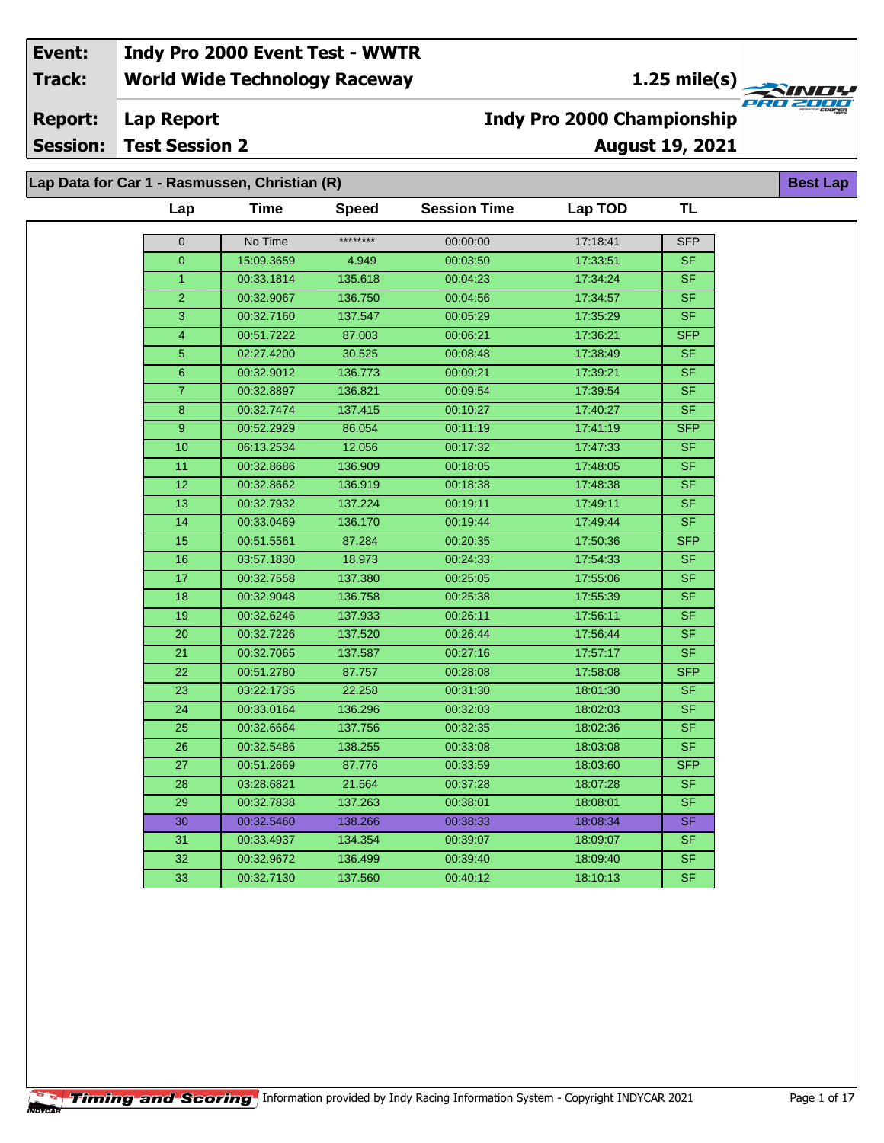**1.25 mile(s)**<br>
FRO 2004

**Lap Report Report:**

**Session: Test Session 2**

## **Indy Pro 2000 Championship**

**August 19, 2021**

**Best Lap**

**Lap Data for Car 1 - Rasmussen, Christian (R)**

| ********<br>No Time<br>00:00:00<br>17:18:41<br><b>SFP</b><br>0<br>15:09.3659<br>17:33:51<br>$\overline{0}$<br>4.949<br>00:03:50<br>SF.<br>00:33.1814<br>135.618<br>00:04:23<br>17:34:24<br>$\mathbf{1}$<br>SF.<br>$\overline{2}$<br>136.750<br>00:04:56<br>17:34:57<br><b>SF</b><br>00:32.9067<br>17:35:29<br>3<br>00:32.7160<br>137.547<br>00:05:29<br>SF.<br>$\overline{\mathbf{4}}$<br>00:51.7222<br>87.003<br>00:06:21<br>17:36:21<br><b>SFP</b><br>$\overline{5}$<br>30.525<br>17:38:49<br>02:27.4200<br>00:08:48<br>SF.<br>$6\phantom{a}$<br>00:32.9012<br>136.773<br>17:39:21<br>SF.<br>00:09:21<br>$\overline{7}$<br>00:32.8897<br>136.821<br>00:09:54<br>17:39:54<br>SF.<br>137.415<br>$\overline{\mathsf{SF}}$<br>8<br>00:32.7474<br>00:10:27<br>17:40:27<br>17:41:19<br><b>SFP</b><br>9<br>00:52.2929<br>86.054<br>00:11:19<br>12.056<br>00:17:32<br>17:47:33<br>10 <sup>10</sup><br>06:13.2534<br>SF.<br>00:18:05<br>17:48:05<br>SF<br>11<br>00:32.8686<br>136.909<br>$\overline{12}$<br>00:18:38<br>17:48:38<br>$\overline{\mathsf{SF}}$<br>00:32.8662<br>136.919<br>13<br>137.224<br><b>SF</b><br>00:32.7932<br>00:19:11<br>17:49:11<br>136.170<br><b>SF</b><br>14<br>00:33.0469<br>00:19:44<br>17:49:44<br>15<br><b>SFP</b><br>00:51.5561<br>87.284<br>00:20:35<br>17:50:36<br>16<br>18.973<br>17:54:33<br>SF.<br>03:57.1830<br>00:24:33<br>17<br>137.380<br>SF.<br>00:32.7558<br>00:25:05<br>17:55:06<br>18<br><b>SF</b><br>00:32.9048<br>136.758<br>00:25:38<br>17:55:39<br>$\overline{\mathsf{SF}}$<br>19<br>00:32.6246<br>137.933<br>17:56:11<br>00:26:11<br>17:56:44<br><b>SF</b><br>20<br>00:32.7226<br>137.520<br>00:26:44<br>$\overline{\mathsf{SF}}$<br>21<br>17:57:17<br>00:32.7065<br>137.587<br>00:27:16<br>22<br>17:58:08<br><b>SFP</b><br>00:51.2780<br>87.757<br>00:28:08<br>22.258<br>18:01:30<br>SF.<br>23<br>03:22.1735<br>00:31:30<br>24<br>00:33.0164<br>136.296<br>00:32:03<br>18:02:03<br>SF.<br>25<br>00:32.6664<br>137.756<br>00:32:35<br>18:02:36<br>SF.<br>26<br>00:32.5486<br>138.255<br>00:33:08<br>18:03:08<br>SF.<br>27<br>00:33:59<br><b>SFP</b><br>00:51.2669<br>87.776<br>18:03:60<br>18:07:28<br>SF.<br>28<br>03:28.6821<br>21.564<br>00:37:28<br>137.263<br>SF.<br>29<br>00:32.7838<br>00:38:01<br>18:08:01<br>SF.<br>30<br>00:32.5460<br>138.266<br>00:38:33<br>18:08:34<br>SF.<br>31<br>00:33.4937<br>134.354<br>00:39:07<br>18:09:07<br>32<br>00:32.9672<br>136.499<br>00:39:40<br>18:09:40<br>SF.<br>$\overline{\mathsf{SF}}$<br>33<br>00:32.7130<br>137.560<br>18:10:13<br>00:40:12 |
|--------------------------------------------------------------------------------------------------------------------------------------------------------------------------------------------------------------------------------------------------------------------------------------------------------------------------------------------------------------------------------------------------------------------------------------------------------------------------------------------------------------------------------------------------------------------------------------------------------------------------------------------------------------------------------------------------------------------------------------------------------------------------------------------------------------------------------------------------------------------------------------------------------------------------------------------------------------------------------------------------------------------------------------------------------------------------------------------------------------------------------------------------------------------------------------------------------------------------------------------------------------------------------------------------------------------------------------------------------------------------------------------------------------------------------------------------------------------------------------------------------------------------------------------------------------------------------------------------------------------------------------------------------------------------------------------------------------------------------------------------------------------------------------------------------------------------------------------------------------------------------------------------------------------------------------------------------------------------------------------------------------------------------------------------------------------------------------------------------------------------------------------------------------------------------------------------------------------------------------------------------------------------------------------------------------------------------------------------------------------------------------------------------------------------------------------------------------------------------------------------------------------------------------------|
|                                                                                                                                                                                                                                                                                                                                                                                                                                                                                                                                                                                                                                                                                                                                                                                                                                                                                                                                                                                                                                                                                                                                                                                                                                                                                                                                                                                                                                                                                                                                                                                                                                                                                                                                                                                                                                                                                                                                                                                                                                                                                                                                                                                                                                                                                                                                                                                                                                                                                                                                            |
|                                                                                                                                                                                                                                                                                                                                                                                                                                                                                                                                                                                                                                                                                                                                                                                                                                                                                                                                                                                                                                                                                                                                                                                                                                                                                                                                                                                                                                                                                                                                                                                                                                                                                                                                                                                                                                                                                                                                                                                                                                                                                                                                                                                                                                                                                                                                                                                                                                                                                                                                            |
|                                                                                                                                                                                                                                                                                                                                                                                                                                                                                                                                                                                                                                                                                                                                                                                                                                                                                                                                                                                                                                                                                                                                                                                                                                                                                                                                                                                                                                                                                                                                                                                                                                                                                                                                                                                                                                                                                                                                                                                                                                                                                                                                                                                                                                                                                                                                                                                                                                                                                                                                            |
|                                                                                                                                                                                                                                                                                                                                                                                                                                                                                                                                                                                                                                                                                                                                                                                                                                                                                                                                                                                                                                                                                                                                                                                                                                                                                                                                                                                                                                                                                                                                                                                                                                                                                                                                                                                                                                                                                                                                                                                                                                                                                                                                                                                                                                                                                                                                                                                                                                                                                                                                            |
|                                                                                                                                                                                                                                                                                                                                                                                                                                                                                                                                                                                                                                                                                                                                                                                                                                                                                                                                                                                                                                                                                                                                                                                                                                                                                                                                                                                                                                                                                                                                                                                                                                                                                                                                                                                                                                                                                                                                                                                                                                                                                                                                                                                                                                                                                                                                                                                                                                                                                                                                            |
|                                                                                                                                                                                                                                                                                                                                                                                                                                                                                                                                                                                                                                                                                                                                                                                                                                                                                                                                                                                                                                                                                                                                                                                                                                                                                                                                                                                                                                                                                                                                                                                                                                                                                                                                                                                                                                                                                                                                                                                                                                                                                                                                                                                                                                                                                                                                                                                                                                                                                                                                            |
|                                                                                                                                                                                                                                                                                                                                                                                                                                                                                                                                                                                                                                                                                                                                                                                                                                                                                                                                                                                                                                                                                                                                                                                                                                                                                                                                                                                                                                                                                                                                                                                                                                                                                                                                                                                                                                                                                                                                                                                                                                                                                                                                                                                                                                                                                                                                                                                                                                                                                                                                            |
|                                                                                                                                                                                                                                                                                                                                                                                                                                                                                                                                                                                                                                                                                                                                                                                                                                                                                                                                                                                                                                                                                                                                                                                                                                                                                                                                                                                                                                                                                                                                                                                                                                                                                                                                                                                                                                                                                                                                                                                                                                                                                                                                                                                                                                                                                                                                                                                                                                                                                                                                            |
|                                                                                                                                                                                                                                                                                                                                                                                                                                                                                                                                                                                                                                                                                                                                                                                                                                                                                                                                                                                                                                                                                                                                                                                                                                                                                                                                                                                                                                                                                                                                                                                                                                                                                                                                                                                                                                                                                                                                                                                                                                                                                                                                                                                                                                                                                                                                                                                                                                                                                                                                            |
|                                                                                                                                                                                                                                                                                                                                                                                                                                                                                                                                                                                                                                                                                                                                                                                                                                                                                                                                                                                                                                                                                                                                                                                                                                                                                                                                                                                                                                                                                                                                                                                                                                                                                                                                                                                                                                                                                                                                                                                                                                                                                                                                                                                                                                                                                                                                                                                                                                                                                                                                            |
|                                                                                                                                                                                                                                                                                                                                                                                                                                                                                                                                                                                                                                                                                                                                                                                                                                                                                                                                                                                                                                                                                                                                                                                                                                                                                                                                                                                                                                                                                                                                                                                                                                                                                                                                                                                                                                                                                                                                                                                                                                                                                                                                                                                                                                                                                                                                                                                                                                                                                                                                            |
|                                                                                                                                                                                                                                                                                                                                                                                                                                                                                                                                                                                                                                                                                                                                                                                                                                                                                                                                                                                                                                                                                                                                                                                                                                                                                                                                                                                                                                                                                                                                                                                                                                                                                                                                                                                                                                                                                                                                                                                                                                                                                                                                                                                                                                                                                                                                                                                                                                                                                                                                            |
|                                                                                                                                                                                                                                                                                                                                                                                                                                                                                                                                                                                                                                                                                                                                                                                                                                                                                                                                                                                                                                                                                                                                                                                                                                                                                                                                                                                                                                                                                                                                                                                                                                                                                                                                                                                                                                                                                                                                                                                                                                                                                                                                                                                                                                                                                                                                                                                                                                                                                                                                            |
|                                                                                                                                                                                                                                                                                                                                                                                                                                                                                                                                                                                                                                                                                                                                                                                                                                                                                                                                                                                                                                                                                                                                                                                                                                                                                                                                                                                                                                                                                                                                                                                                                                                                                                                                                                                                                                                                                                                                                                                                                                                                                                                                                                                                                                                                                                                                                                                                                                                                                                                                            |
|                                                                                                                                                                                                                                                                                                                                                                                                                                                                                                                                                                                                                                                                                                                                                                                                                                                                                                                                                                                                                                                                                                                                                                                                                                                                                                                                                                                                                                                                                                                                                                                                                                                                                                                                                                                                                                                                                                                                                                                                                                                                                                                                                                                                                                                                                                                                                                                                                                                                                                                                            |
|                                                                                                                                                                                                                                                                                                                                                                                                                                                                                                                                                                                                                                                                                                                                                                                                                                                                                                                                                                                                                                                                                                                                                                                                                                                                                                                                                                                                                                                                                                                                                                                                                                                                                                                                                                                                                                                                                                                                                                                                                                                                                                                                                                                                                                                                                                                                                                                                                                                                                                                                            |
|                                                                                                                                                                                                                                                                                                                                                                                                                                                                                                                                                                                                                                                                                                                                                                                                                                                                                                                                                                                                                                                                                                                                                                                                                                                                                                                                                                                                                                                                                                                                                                                                                                                                                                                                                                                                                                                                                                                                                                                                                                                                                                                                                                                                                                                                                                                                                                                                                                                                                                                                            |
|                                                                                                                                                                                                                                                                                                                                                                                                                                                                                                                                                                                                                                                                                                                                                                                                                                                                                                                                                                                                                                                                                                                                                                                                                                                                                                                                                                                                                                                                                                                                                                                                                                                                                                                                                                                                                                                                                                                                                                                                                                                                                                                                                                                                                                                                                                                                                                                                                                                                                                                                            |
|                                                                                                                                                                                                                                                                                                                                                                                                                                                                                                                                                                                                                                                                                                                                                                                                                                                                                                                                                                                                                                                                                                                                                                                                                                                                                                                                                                                                                                                                                                                                                                                                                                                                                                                                                                                                                                                                                                                                                                                                                                                                                                                                                                                                                                                                                                                                                                                                                                                                                                                                            |
|                                                                                                                                                                                                                                                                                                                                                                                                                                                                                                                                                                                                                                                                                                                                                                                                                                                                                                                                                                                                                                                                                                                                                                                                                                                                                                                                                                                                                                                                                                                                                                                                                                                                                                                                                                                                                                                                                                                                                                                                                                                                                                                                                                                                                                                                                                                                                                                                                                                                                                                                            |
|                                                                                                                                                                                                                                                                                                                                                                                                                                                                                                                                                                                                                                                                                                                                                                                                                                                                                                                                                                                                                                                                                                                                                                                                                                                                                                                                                                                                                                                                                                                                                                                                                                                                                                                                                                                                                                                                                                                                                                                                                                                                                                                                                                                                                                                                                                                                                                                                                                                                                                                                            |
|                                                                                                                                                                                                                                                                                                                                                                                                                                                                                                                                                                                                                                                                                                                                                                                                                                                                                                                                                                                                                                                                                                                                                                                                                                                                                                                                                                                                                                                                                                                                                                                                                                                                                                                                                                                                                                                                                                                                                                                                                                                                                                                                                                                                                                                                                                                                                                                                                                                                                                                                            |
|                                                                                                                                                                                                                                                                                                                                                                                                                                                                                                                                                                                                                                                                                                                                                                                                                                                                                                                                                                                                                                                                                                                                                                                                                                                                                                                                                                                                                                                                                                                                                                                                                                                                                                                                                                                                                                                                                                                                                                                                                                                                                                                                                                                                                                                                                                                                                                                                                                                                                                                                            |
|                                                                                                                                                                                                                                                                                                                                                                                                                                                                                                                                                                                                                                                                                                                                                                                                                                                                                                                                                                                                                                                                                                                                                                                                                                                                                                                                                                                                                                                                                                                                                                                                                                                                                                                                                                                                                                                                                                                                                                                                                                                                                                                                                                                                                                                                                                                                                                                                                                                                                                                                            |
|                                                                                                                                                                                                                                                                                                                                                                                                                                                                                                                                                                                                                                                                                                                                                                                                                                                                                                                                                                                                                                                                                                                                                                                                                                                                                                                                                                                                                                                                                                                                                                                                                                                                                                                                                                                                                                                                                                                                                                                                                                                                                                                                                                                                                                                                                                                                                                                                                                                                                                                                            |
|                                                                                                                                                                                                                                                                                                                                                                                                                                                                                                                                                                                                                                                                                                                                                                                                                                                                                                                                                                                                                                                                                                                                                                                                                                                                                                                                                                                                                                                                                                                                                                                                                                                                                                                                                                                                                                                                                                                                                                                                                                                                                                                                                                                                                                                                                                                                                                                                                                                                                                                                            |
|                                                                                                                                                                                                                                                                                                                                                                                                                                                                                                                                                                                                                                                                                                                                                                                                                                                                                                                                                                                                                                                                                                                                                                                                                                                                                                                                                                                                                                                                                                                                                                                                                                                                                                                                                                                                                                                                                                                                                                                                                                                                                                                                                                                                                                                                                                                                                                                                                                                                                                                                            |
|                                                                                                                                                                                                                                                                                                                                                                                                                                                                                                                                                                                                                                                                                                                                                                                                                                                                                                                                                                                                                                                                                                                                                                                                                                                                                                                                                                                                                                                                                                                                                                                                                                                                                                                                                                                                                                                                                                                                                                                                                                                                                                                                                                                                                                                                                                                                                                                                                                                                                                                                            |
|                                                                                                                                                                                                                                                                                                                                                                                                                                                                                                                                                                                                                                                                                                                                                                                                                                                                                                                                                                                                                                                                                                                                                                                                                                                                                                                                                                                                                                                                                                                                                                                                                                                                                                                                                                                                                                                                                                                                                                                                                                                                                                                                                                                                                                                                                                                                                                                                                                                                                                                                            |
|                                                                                                                                                                                                                                                                                                                                                                                                                                                                                                                                                                                                                                                                                                                                                                                                                                                                                                                                                                                                                                                                                                                                                                                                                                                                                                                                                                                                                                                                                                                                                                                                                                                                                                                                                                                                                                                                                                                                                                                                                                                                                                                                                                                                                                                                                                                                                                                                                                                                                                                                            |
|                                                                                                                                                                                                                                                                                                                                                                                                                                                                                                                                                                                                                                                                                                                                                                                                                                                                                                                                                                                                                                                                                                                                                                                                                                                                                                                                                                                                                                                                                                                                                                                                                                                                                                                                                                                                                                                                                                                                                                                                                                                                                                                                                                                                                                                                                                                                                                                                                                                                                                                                            |
|                                                                                                                                                                                                                                                                                                                                                                                                                                                                                                                                                                                                                                                                                                                                                                                                                                                                                                                                                                                                                                                                                                                                                                                                                                                                                                                                                                                                                                                                                                                                                                                                                                                                                                                                                                                                                                                                                                                                                                                                                                                                                                                                                                                                                                                                                                                                                                                                                                                                                                                                            |
|                                                                                                                                                                                                                                                                                                                                                                                                                                                                                                                                                                                                                                                                                                                                                                                                                                                                                                                                                                                                                                                                                                                                                                                                                                                                                                                                                                                                                                                                                                                                                                                                                                                                                                                                                                                                                                                                                                                                                                                                                                                                                                                                                                                                                                                                                                                                                                                                                                                                                                                                            |
|                                                                                                                                                                                                                                                                                                                                                                                                                                                                                                                                                                                                                                                                                                                                                                                                                                                                                                                                                                                                                                                                                                                                                                                                                                                                                                                                                                                                                                                                                                                                                                                                                                                                                                                                                                                                                                                                                                                                                                                                                                                                                                                                                                                                                                                                                                                                                                                                                                                                                                                                            |
|                                                                                                                                                                                                                                                                                                                                                                                                                                                                                                                                                                                                                                                                                                                                                                                                                                                                                                                                                                                                                                                                                                                                                                                                                                                                                                                                                                                                                                                                                                                                                                                                                                                                                                                                                                                                                                                                                                                                                                                                                                                                                                                                                                                                                                                                                                                                                                                                                                                                                                                                            |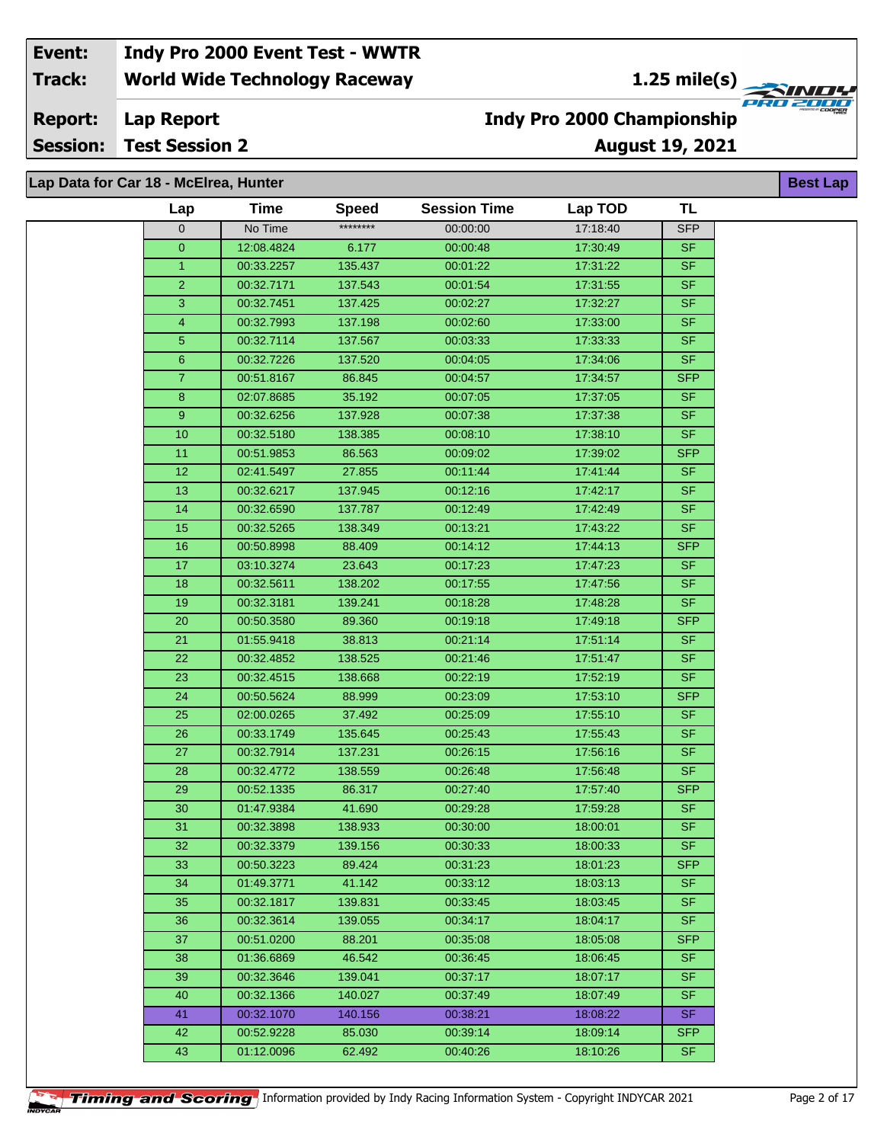**1.25 mile(s)**<br> **1.25 mile(s)** 

**Lap Report Report:**

**Session: Test Session 2**

## **August 19, 2021 Indy Pro 2000 Championship**

| Lap Data for Car 18 - McElrea, Hunter |                          |                   |                      |                      |                   |  |
|---------------------------------------|--------------------------|-------------------|----------------------|----------------------|-------------------|--|
| Lap                                   | <b>Time</b>              | <b>Speed</b>      | <b>Session Time</b>  | Lap TOD              | <b>TL</b>         |  |
| $\mathbf 0$                           | No Time                  | ********          | 00:00:00             | 17:18:40             | <b>SFP</b>        |  |
| $\overline{0}$                        | 12:08.4824               | 6.177             | 00:00:48             | 17:30:49             | <b>SF</b>         |  |
| $\mathbf{1}$                          | 00:33.2257               | 135.437           | 00:01:22             | 17:31:22             | <b>SF</b>         |  |
| $\overline{2}$                        | 00:32.7171               | 137.543           | 00:01:54             | 17:31:55             | <b>SF</b>         |  |
| 3                                     | 00:32.7451               | 137.425           | 00:02:27             | 17:32:27             | <b>SF</b>         |  |
| 4                                     | 00:32.7993               | 137.198           | 00:02:60             | 17:33:00             | <b>SF</b>         |  |
| 5 <sub>5</sub>                        | 00:32.7114               | 137.567           | 00:03:33             | 17:33:33             | <b>SF</b>         |  |
| $6\phantom{1}$                        | 00:32.7226               | 137.520           | 00:04:05             | 17:34:06             | <b>SF</b>         |  |
| 7 <sup>1</sup>                        | 00:51.8167               | 86.845            | 00:04:57             | 17:34:57             | <b>SFP</b>        |  |
| 8                                     | 02:07.8685               | 35.192            | 00:07:05             | 17:37:05             | <b>SF</b>         |  |
| 9 <sup>°</sup>                        | 00:32.6256               | 137.928           | 00:07:38             | 17:37:38             | <b>SF</b>         |  |
| 10                                    | 00:32.5180               | 138.385           | 00:08:10             | 17:38:10             | <b>SF</b>         |  |
| 11                                    | 00:51.9853               | 86.563            | 00:09:02             | 17:39:02             | <b>SFP</b>        |  |
| 12                                    | 02:41.5497               | 27.855            | 00:11:44             | 17:41:44             | <b>SF</b>         |  |
| 13                                    | 00:32.6217               | 137.945           | 00:12:16             | 17:42:17             | <b>SF</b>         |  |
| 14                                    | 00:32.6590               | 137.787           | 00:12:49             | 17:42:49             | <b>SF</b>         |  |
| 15                                    | 00:32.5265               | 138.349           | 00:13:21             | 17:43:22             | <b>SF</b>         |  |
| 16                                    | 00:50.8998               | 88.409            | 00:14:12             | 17:44:13             | <b>SFP</b>        |  |
| 17                                    | 03:10.3274               | 23.643            | 00:17:23             | 17:47:23             | <b>SF</b>         |  |
| 18                                    | 00:32.5611               | 138.202           | 00:17:55             | 17:47:56             | <b>SF</b>         |  |
| 19                                    | 00:32.3181               | 139.241           | 00:18:28             | 17:48:28             | <b>SF</b>         |  |
| 20                                    | 00:50.3580               | 89.360            | 00:19:18             | 17:49:18             | <b>SFP</b>        |  |
| 21                                    | 01:55.9418               | 38.813            | 00:21:14             | 17:51:14             | <b>SF</b>         |  |
| 22                                    | 00:32.4852               | 138.525           | 00:21:46             | 17:51:47             | <b>SF</b>         |  |
| 23                                    | 00:32.4515               | 138.668           | 00:22:19             | 17:52:19             | <b>SF</b>         |  |
| 24                                    | 00:50.5624               | 88.999            | 00:23:09             | 17:53:10             | <b>SFP</b>        |  |
| 25                                    | 02:00.0265               | 37.492            | 00:25:09             | 17:55:10             | <b>SF</b>         |  |
| 26                                    | 00:33.1749               | 135.645           | 00:25:43             | 17:55:43             | <b>SF</b>         |  |
| 27                                    | 00:32.7914               | 137.231           | 00:26:15             | 17:56:16             | <b>SF</b>         |  |
| 28                                    | 00:32.4772               | 138.559           | 00:26:48             | 17:56:48             | <b>SF</b>         |  |
| 29                                    | 00:52.1335               | 86.317            | 00:27:40             | 17:57:40             | <b>SFP</b>        |  |
| 30                                    | 01:47.9384               | 41.690            | 00:29:28             | 17:59:28             | <b>SF</b>         |  |
| 31.                                   | 00:32.3898               | 138.933           | 00:30:00             | 18:00:01             | SF                |  |
| 32                                    | 00:32.3379               | 139.156           | 00:30:33             | 18:00:33             | <b>SF</b>         |  |
| 33                                    | 00:50.3223               | 89.424            | 00:31:23             | 18:01:23             | <b>SFP</b>        |  |
| 34                                    | 01:49.3771               | 41.142            | 00:33:12             | 18:03:13             | SF.               |  |
| 35                                    | 00:32.1817               | 139.831           | 00:33:45             | 18:03:45             | <b>SF</b>         |  |
| 36                                    | 00:32.3614               | 139.055           | 00:34:17             | 18:04:17             | <b>SF</b>         |  |
| 37                                    | 00:51.0200               | 88.201            | 00:35:08             | 18:05:08             | <b>SFP</b>        |  |
| 38                                    | 01:36.6869               | 46.542            | 00:36:45             | 18:06:45             | <b>SF</b>         |  |
| 39                                    | 00:32.3646               | 139.041           | 00:37:17             | 18:07:17             | <b>SF</b>         |  |
| 40                                    | 00:32.1366               | 140.027           | 00:37:49             | 18:07:49             | <b>SF</b>         |  |
| 41<br>42                              | 00:32.1070<br>00:52.9228 | 140.156<br>85.030 | 00:38:21<br>00:39:14 | 18:08:22<br>18:09:14 | SF.<br><b>SFP</b> |  |
|                                       |                          |                   |                      |                      |                   |  |
| 43                                    | 01:12.0096               | 62.492            | 00:40:26             | 18:10:26             | <b>SF</b>         |  |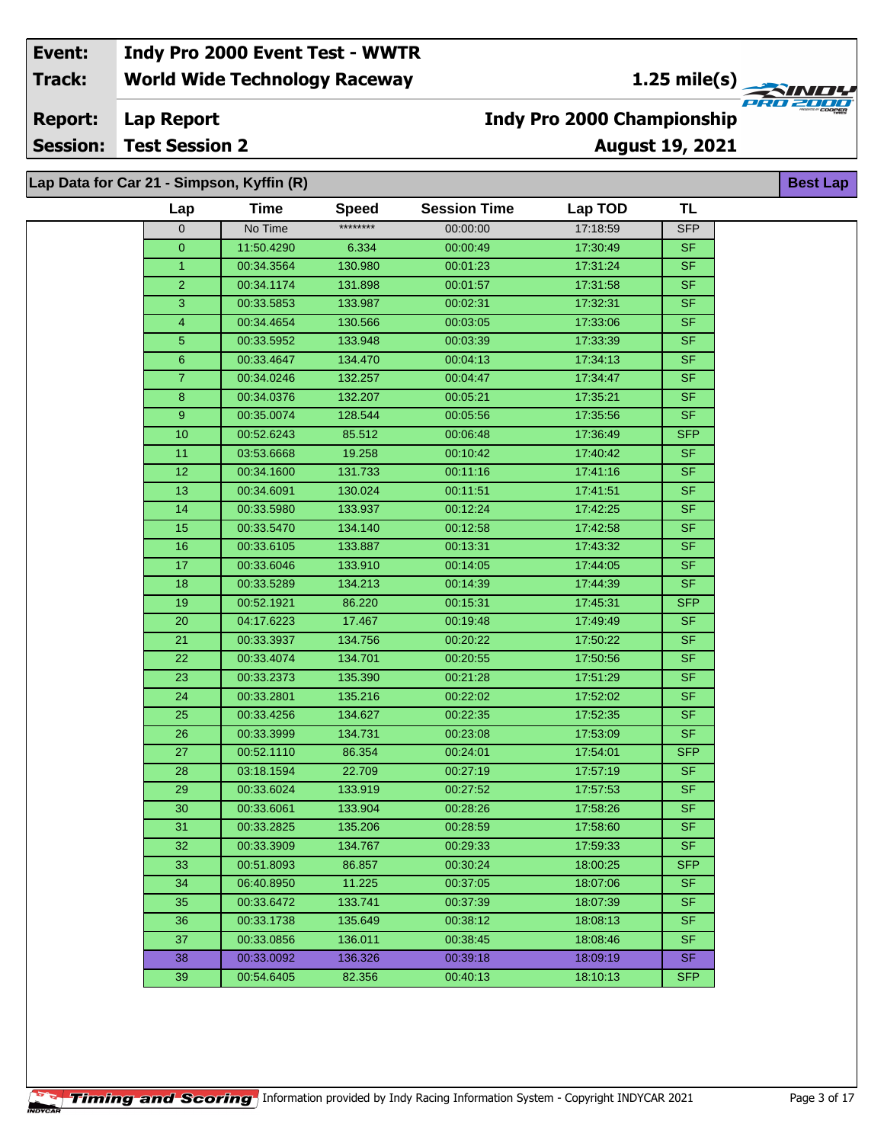**1.25 mile(s)**<br>
FRU 2000

**August 19, 2021**

**Lap Report Report:**

**Session: Test Session 2**

# **Indy Pro 2000 Championship**

**Best Lap**

### **Lap Data for Car 21 - Simpson, Kyffin (R)**

| Lap                     | <b>Time</b> | <b>Speed</b> | <b>Session Time</b> | Lap TOD  | TL                       |
|-------------------------|-------------|--------------|---------------------|----------|--------------------------|
| $\mathbf 0$             | No Time     | ********     | 00:00:00            | 17:18:59 | <b>SFP</b>               |
| $\mathbf{0}$            | 11:50.4290  | 6.334        | 00:00:49            | 17:30:49 | <b>SF</b>                |
| $\overline{1}$          | 00:34.3564  | 130.980      | 00:01:23            | 17:31:24 | <b>SF</b>                |
| $\overline{2}$          | 00:34.1174  | 131.898      | 00:01:57            | 17:31:58 | $S_{F}$                  |
| 3                       | 00:33.5853  | 133.987      | 00:02:31            | 17:32:31 | $\overline{\mathsf{SF}}$ |
| $\overline{\mathbf{4}}$ | 00:34.4654  | 130.566      | 00:03:05            | 17:33:06 | S <sub>F</sub>           |
| 5                       | 00:33.5952  | 133.948      | 00:03:39            | 17:33:39 | <b>SF</b>                |
| $6\phantom{1}$          | 00:33.4647  | 134.470      | 00:04:13            | 17:34:13 | <b>SF</b>                |
| $\overline{7}$          | 00:34.0246  | 132.257      | 00:04:47            | 17:34:47 | <b>SF</b>                |
| 8                       | 00:34.0376  | 132.207      | 00:05:21            | 17:35:21 | <b>SF</b>                |
| 9                       | 00:35.0074  | 128.544      | 00:05:56            | 17:35:56 | <b>SF</b>                |
| 10                      | 00:52.6243  | 85.512       | 00:06:48            | 17:36:49 | <b>SFP</b>               |
| 11                      | 03:53.6668  | 19.258       | 00:10:42            | 17:40:42 | <b>SF</b>                |
| 12                      | 00:34.1600  | 131.733      | 00:11:16            | 17:41:16 | <b>SF</b>                |
| 13                      | 00:34.6091  | 130.024      | 00:11:51            | 17:41:51 | <b>SF</b>                |
| 14                      | 00:33.5980  | 133.937      | 00:12:24            | 17:42:25 | <b>SF</b>                |
| 15                      | 00:33.5470  | 134.140      | 00:12:58            | 17:42:58 | $S$ F                    |
| 16                      | 00:33.6105  | 133.887      | 00:13:31            | 17:43:32 | S <sub>F</sub>           |
| 17                      | 00:33.6046  | 133.910      | 00:14:05            | 17:44:05 | <b>SF</b>                |
| 18                      | 00:33.5289  | 134.213      | 00:14:39            | 17:44:39 | <b>SF</b>                |
| 19                      | 00:52.1921  | 86.220       | 00:15:31            | 17:45:31 | <b>SFP</b>               |
| 20                      | 04:17.6223  | 17.467       | 00:19:48            | 17:49:49 | <b>SF</b>                |
| 21                      | 00:33.3937  | 134.756      | 00:20:22            | 17:50:22 | <b>SF</b>                |
| 22                      | 00:33.4074  | 134.701      | 00:20:55            | 17:50:56 | S <sub>F</sub>           |
| 23                      | 00:33.2373  | 135.390      | 00:21:28            | 17:51:29 | <b>SF</b>                |
| 24                      | 00:33.2801  | 135.216      | 00:22:02            | 17:52:02 | <b>SF</b>                |
| 25                      | 00:33.4256  | 134.627      | 00:22:35            | 17:52:35 | <b>SF</b>                |
| 26                      | 00:33.3999  | 134.731      | 00:23:08            | 17:53:09 | <b>SF</b>                |
| 27                      | 00:52.1110  | 86.354       | 00:24:01            | 17:54:01 | <b>SFP</b>               |
| 28                      | 03:18.1594  | 22.709       | 00:27:19            | 17:57:19 | $\overline{\mathsf{SF}}$ |
| 29                      | 00:33.6024  | 133.919      | 00:27:52            | 17:57:53 | <b>SF</b>                |
| 30                      | 00:33.6061  | 133.904      | 00:28:26            | 17:58:26 | <b>SF</b>                |
| 31                      | 00:33.2825  | 135.206      | 00:28:59            | 17:58:60 | <b>SF</b>                |
| 32                      | 00:33.3909  | 134.767      | 00:29:33            | 17:59:33 | SF                       |
| 33                      | 00:51.8093  | 86.857       | 00:30:24            | 18:00:25 | <b>SFP</b>               |
| 34                      | 06:40.8950  | 11.225       | 00:37:05            | 18:07:06 | <b>SF</b>                |
| 35                      | 00:33.6472  | 133.741      | 00:37:39            | 18:07:39 | <b>SF</b>                |
| 36                      | 00:33.1738  | 135.649      | 00:38:12            | 18:08:13 | <b>SF</b>                |
| 37                      | 00:33.0856  | 136.011      | 00:38:45            | 18:08:46 | SF.                      |
| 38                      | 00:33.0092  | 136.326      | 00:39:18            | 18:09:19 | <b>SF</b>                |
| 39                      | 00:54.6405  | 82.356       | 00:40:13            | 18:10:13 | <b>SFP</b>               |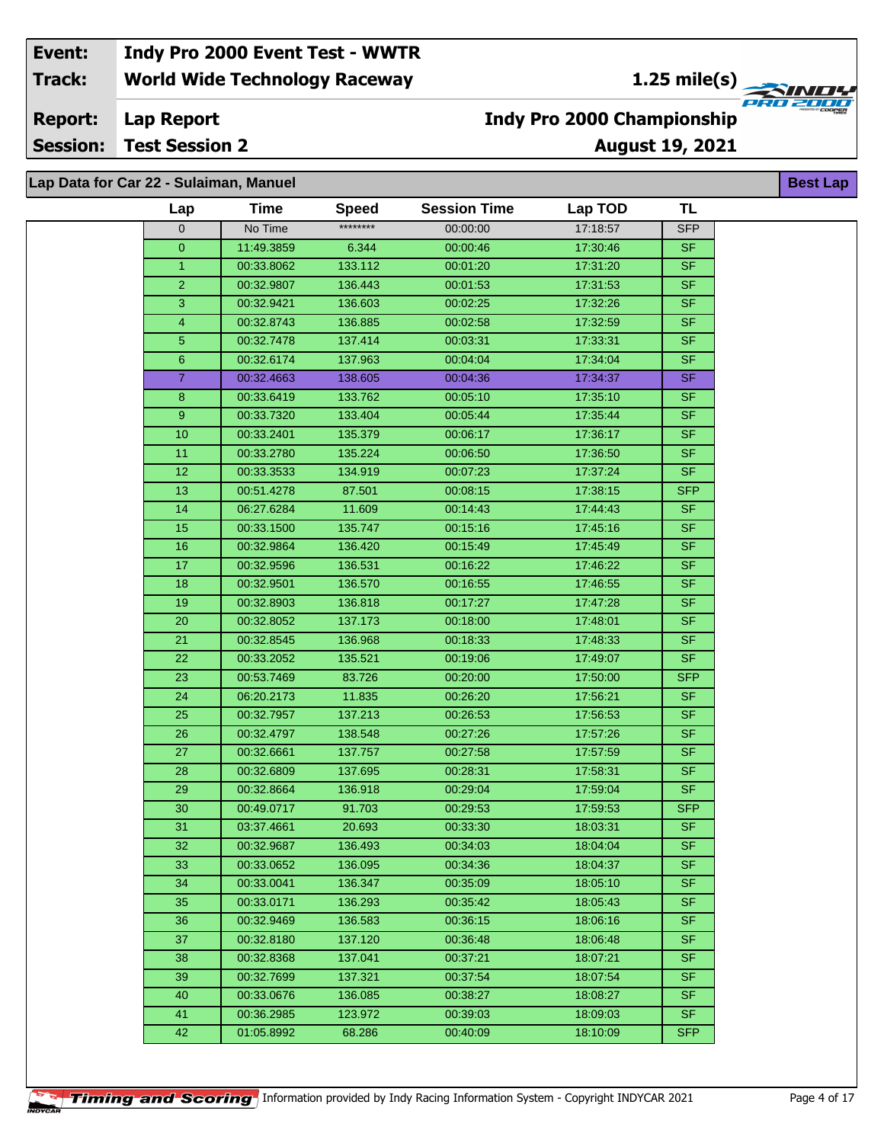**1.25 mile(s)**<br>
FRU 2000

**August 19, 2021**

**Lap Report Report:**

**Session: Test Session 2**

## **Indy Pro 2000 Championship**

| Lap Data for Car 22 - Sulaiman, Manuel |                 |             |              |                     |          |            | <b>Best La</b> |
|----------------------------------------|-----------------|-------------|--------------|---------------------|----------|------------|----------------|
|                                        | Lap             | <b>Time</b> | <b>Speed</b> | <b>Session Time</b> | Lap TOD  | <b>TL</b>  |                |
|                                        | $\mathbf 0$     | No Time     | ********     | 00:00:00            | 17:18:57 | <b>SFP</b> |                |
|                                        | $\overline{0}$  | 11:49.3859  | 6.344        | 00:00:46            | 17:30:46 | <b>SF</b>  |                |
|                                        | $\mathbf{1}$    | 00:33.8062  | 133.112      | 00:01:20            | 17:31:20 | <b>SF</b>  |                |
|                                        | $\overline{2}$  | 00:32.9807  | 136.443      | 00:01:53            | 17:31:53 | <b>SF</b>  |                |
|                                        | $\mathbf{3}$    | 00:32.9421  | 136.603      | 00:02:25            | 17:32:26 | <b>SF</b>  |                |
|                                        | $\overline{4}$  | 00:32.8743  | 136.885      | 00:02:58            | 17:32:59 | <b>SF</b>  |                |
|                                        | 5 <sub>5</sub>  | 00:32.7478  | 137.414      | 00:03:31            | 17:33:31 | <b>SF</b>  |                |
|                                        | 6 <sup>°</sup>  | 00:32.6174  | 137.963      | 00:04:04            | 17:34:04 | <b>SF</b>  |                |
|                                        | $\overline{7}$  | 00:32.4663  | 138.605      | 00:04:36            | 17:34:37 | <b>SF</b>  |                |
|                                        | 8               | 00:33.6419  | 133.762      | 00:05:10            | 17:35:10 | <b>SF</b>  |                |
|                                        | 9               | 00:33.7320  | 133.404      | 00:05:44            | 17:35:44 | <b>SF</b>  |                |
|                                        | 10              | 00:33.2401  | 135.379      | 00:06:17            | 17:36:17 | <b>SF</b>  |                |
|                                        | 11              | 00:33.2780  | 135.224      | 00:06:50            | 17:36:50 | <b>SF</b>  |                |
|                                        | 12              | 00:33.3533  | 134.919      | 00:07:23            | 17:37:24 | <b>SF</b>  |                |
|                                        | 13              | 00:51.4278  | 87.501       | 00:08:15            | 17:38:15 | <b>SFP</b> |                |
|                                        | 14              | 06:27.6284  | 11.609       | 00:14:43            | 17:44:43 | <b>SF</b>  |                |
|                                        | 15              | 00:33.1500  | 135.747      | 00:15:16            | 17:45:16 | <b>SF</b>  |                |
|                                        | 16              | 00:32.9864  | 136.420      | 00:15:49            | 17:45:49 | <b>SF</b>  |                |
|                                        | 17              | 00:32.9596  | 136.531      | 00:16:22            | 17:46:22 | <b>SF</b>  |                |
|                                        | 18              | 00:32.9501  | 136.570      | 00:16:55            | 17:46:55 | <b>SF</b>  |                |
|                                        | 19              | 00:32.8903  | 136.818      | 00:17:27            | 17:47:28 | SF.        |                |
|                                        | 20              | 00:32.8052  | 137.173      | 00:18:00            | 17:48:01 | <b>SF</b>  |                |
|                                        | 21              | 00:32.8545  | 136.968      | 00:18:33            | 17:48:33 | <b>SF</b>  |                |
|                                        | 22              | 00:33.2052  | 135.521      | 00:19:06            | 17:49:07 | <b>SF</b>  |                |
|                                        | 23              | 00:53.7469  | 83.726       | 00:20:00            | 17:50:00 | SFP        |                |
|                                        | 24              | 06:20.2173  | 11.835       | 00:26:20            | 17:56:21 | <b>SF</b>  |                |
|                                        | 25              | 00:32.7957  | 137.213      | 00:26:53            | 17:56:53 | <b>SF</b>  |                |
|                                        | 26              | 00:32.4797  | 138.548      | 00:27:26            | 17:57:26 | <b>SF</b>  |                |
|                                        | 27              | 00:32.6661  | 137.757      | 00:27:58            | 17:57:59 | <b>SF</b>  |                |
|                                        | 28              | 00:32.6809  | 137.695      | 00:28:31            | 17:58:31 | <b>SF</b>  |                |
|                                        | 29              | 00:32.8664  | 136.918      | 00:29:04            | 17:59:04 | <b>SF</b>  |                |
|                                        | $\overline{30}$ | 00:49.0717  | 91.703       | 00:29:53            | 17:59:53 | <b>SFP</b> |                |
|                                        | 31              | 03:37.4661  | 20.693       | 00:33:30            | 18:03:31 | SF.        |                |
|                                        | 32              | 00:32.9687  | 136.493      | 00:34:03            | 18:04:04 | <b>SF</b>  |                |
|                                        | 33              | 00:33.0652  | 136.095      | 00:34:36            | 18:04:37 | <b>SF</b>  |                |
|                                        | 34              | 00:33.0041  | 136.347      | 00:35:09            | 18:05:10 | SF.        |                |
|                                        | 35              | 00:33.0171  | 136.293      | 00:35:42            | 18:05:43 | SF.        |                |
|                                        | 36              | 00:32.9469  | 136.583      | 00:36:15            | 18:06:16 | SF.        |                |
|                                        | 37              | 00:32.8180  | 137.120      | 00:36:48            | 18:06:48 | <b>SF</b>  |                |
|                                        | 38              | 00:32.8368  | 137.041      | 00:37:21            | 18:07:21 | <b>SF</b>  |                |
|                                        | 39              | 00:32.7699  | 137.321      | 00:37:54            | 18:07:54 | <b>SF</b>  |                |
|                                        | 40              | 00:33.0676  | 136.085      | 00:38:27            | 18:08:27 | <b>SF</b>  |                |
|                                        | 41              | 00:36.2985  | 123.972      | 00:39:03            | 18:09:03 | <b>SF</b>  |                |
|                                        | 42              | 01:05.8992  | 68.286       | 00:40:09            | 18:10:09 | <b>SFP</b> |                |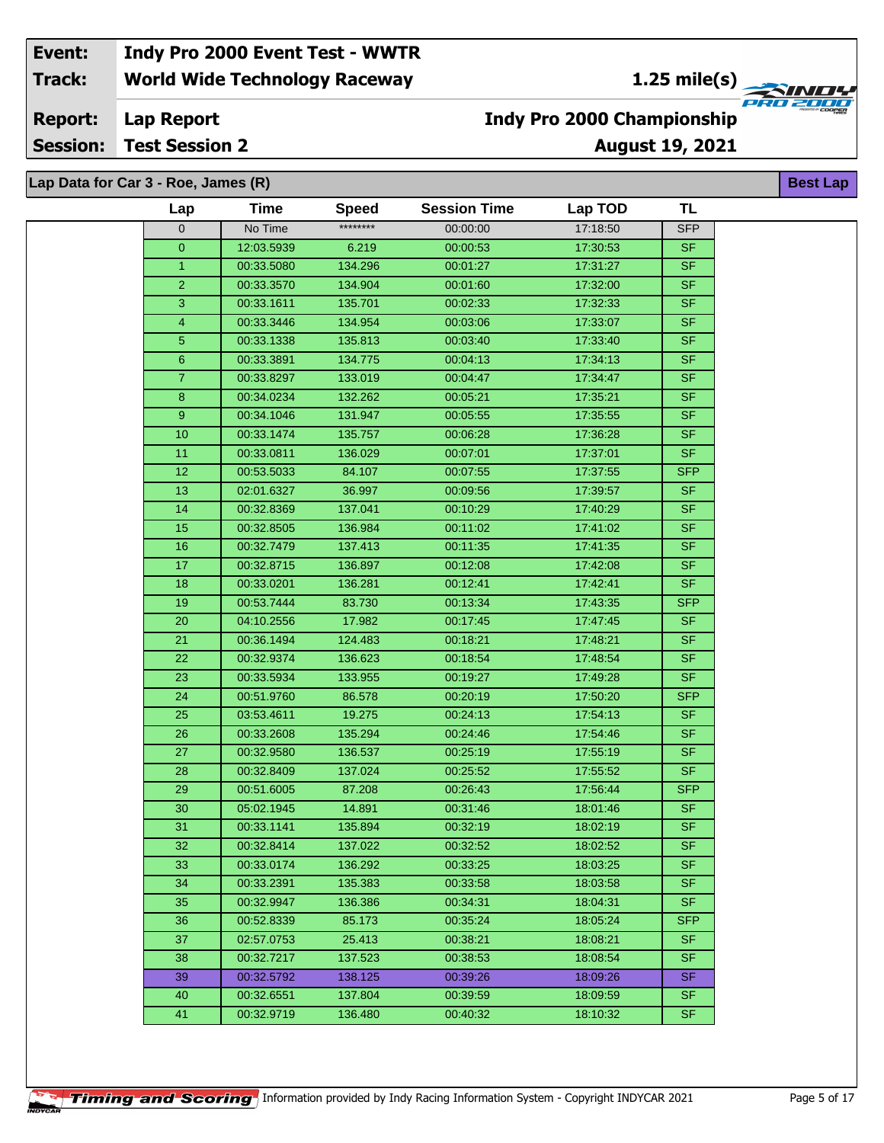#### **Lap Report Report:**

**Session: Test Session 2**

## **August 19, 2021 Indy Pro 2000 Championship**

| Lap Data for Car 3 - Roe, James (R) |                |             |              |                     |          |            | <b>Best La</b> |
|-------------------------------------|----------------|-------------|--------------|---------------------|----------|------------|----------------|
|                                     | Lap            | <b>Time</b> | <b>Speed</b> | <b>Session Time</b> | Lap TOD  | <b>TL</b>  |                |
|                                     | $\mathbf 0$    | No Time     | ********     | 00:00:00            | 17:18:50 | <b>SFP</b> |                |
|                                     | 0              | 12:03.5939  | 6.219        | 00:00:53            | 17:30:53 | <b>SF</b>  |                |
|                                     | $\mathbf{1}$   | 00:33.5080  | 134.296      | 00:01:27            | 17:31:27 | $S$ F      |                |
|                                     | $\overline{c}$ | 00:33.3570  | 134.904      | 00:01:60            | 17:32:00 | <b>SF</b>  |                |
|                                     | $\mathbf{3}$   | 00:33.1611  | 135.701      | 00:02:33            | 17:32:33 | <b>SF</b>  |                |
|                                     | $\overline{4}$ | 00:33.3446  | 134.954      | 00:03:06            | 17:33:07 | <b>SF</b>  |                |
|                                     | 5              | 00:33.1338  | 135.813      | 00:03:40            | 17:33:40 | SF         |                |
|                                     | 6              | 00:33.3891  | 134.775      | 00:04:13            | 17:34:13 | SF         |                |
|                                     | $\overline{7}$ | 00:33.8297  | 133.019      | 00:04:47            | 17:34:47 | <b>SF</b>  |                |
|                                     | $\bf 8$        | 00:34.0234  | 132.262      | 00:05:21            | 17:35:21 | <b>SF</b>  |                |
|                                     | 9              | 00:34.1046  | 131.947      | 00:05:55            | 17:35:55 | <b>SF</b>  |                |
|                                     | 10             | 00:33.1474  | 135.757      | 00:06:28            | 17:36:28 | $S$ F      |                |
|                                     | 11             | 00:33.0811  | 136.029      | 00:07:01            | 17:37:01 | <b>SF</b>  |                |
|                                     | 12             | 00:53.5033  | 84.107       | 00:07:55            | 17:37:55 | <b>SFP</b> |                |
|                                     | 13             | 02:01.6327  | 36.997       | 00:09:56            | 17:39:57 | SF         |                |
|                                     | 14             | 00:32.8369  | 137.041      | 00:10:29            | 17:40:29 | <b>SF</b>  |                |
|                                     | 15             | 00:32.8505  | 136.984      | 00:11:02            | 17:41:02 | SF         |                |
|                                     | 16             | 00:32.7479  | 137.413      | 00:11:35            | 17:41:35 | <b>SF</b>  |                |
|                                     | 17             | 00:32.8715  | 136.897      | 00:12:08            | 17:42:08 | SF         |                |
|                                     | 18             | 00:33.0201  | 136.281      | 00:12:41            | 17:42:41 | SF         |                |
|                                     | 19             | 00:53.7444  | 83.730       | 00:13:34            | 17:43:35 | <b>SFP</b> |                |
|                                     | 20             | 04:10.2556  | 17.982       | 00:17:45            | 17:47:45 | <b>SF</b>  |                |
|                                     | 21             | 00:36.1494  | 124.483      | 00:18:21            | 17:48:21 | <b>SF</b>  |                |
|                                     | 22             | 00:32.9374  | 136.623      | 00:18:54            | 17:48:54 | <b>SF</b>  |                |
|                                     | 23             | 00:33.5934  | 133.955      | 00:19:27            | 17:49:28 | <b>SF</b>  |                |
|                                     | 24             | 00:51.9760  | 86.578       | 00:20:19            | 17:50:20 | <b>SFP</b> |                |
|                                     | 25             | 03:53.4611  | 19.275       | 00:24:13            | 17:54:13 | <b>SF</b>  |                |
|                                     | 26             | 00:33.2608  | 135.294      | 00:24:46            | 17:54:46 | $S$ F      |                |
|                                     | 27             | 00:32.9580  | 136.537      | 00:25:19            | 17:55:19 | <b>SF</b>  |                |
|                                     | 28             | 00:32.8409  | 137.024      | 00:25:52            | 17:55:52 | <b>SF</b>  |                |
|                                     | 29             | 00:51.6005  | 87.208       | 00:26:43            | 17:56:44 | <b>SFP</b> |                |
|                                     | 30             | 05:02.1945  | 14.891       | 00:31:46            | 18:01:46 | <b>SF</b>  |                |
|                                     | 31             | 00:33.1141  | 135.894      | 00:32:19            | 18:02:19 | <b>SF</b>  |                |
|                                     | 32             | 00:32.8414  | 137.022      | 00:32:52            | 18:02:52 | <b>SF</b>  |                |
|                                     | 33             | 00:33.0174  | 136.292      | 00:33:25            | 18:03:25 | SF.        |                |
|                                     | 34             | 00:33.2391  | 135.383      | 00:33:58            | 18:03:58 | SF.        |                |
|                                     | 35             | 00:32.9947  | 136.386      | 00:34:31            | 18:04:31 | SF.        |                |
|                                     | 36             | 00:52.8339  | 85.173       | 00:35:24            | 18:05:24 | <b>SFP</b> |                |
|                                     | 37             | 02:57.0753  | 25.413       | 00:38:21            | 18:08:21 | <b>SF</b>  |                |
|                                     | 38             | 00:32.7217  | 137.523      | 00:38:53            | 18:08:54 | <b>SF</b>  |                |
|                                     | 39             | 00:32.5792  | 138.125      | 00:39:26            | 18:09:26 | <b>SF</b>  |                |
|                                     | 40             | 00:32.6551  | 137.804      | 00:39:59            | 18:09:59 | <b>SF</b>  |                |
|                                     | 41             | 00:32.9719  | 136.480      | 00:40:32            | 18:10:32 | <b>SF</b>  |                |
|                                     |                |             |              |                     |          |            |                |

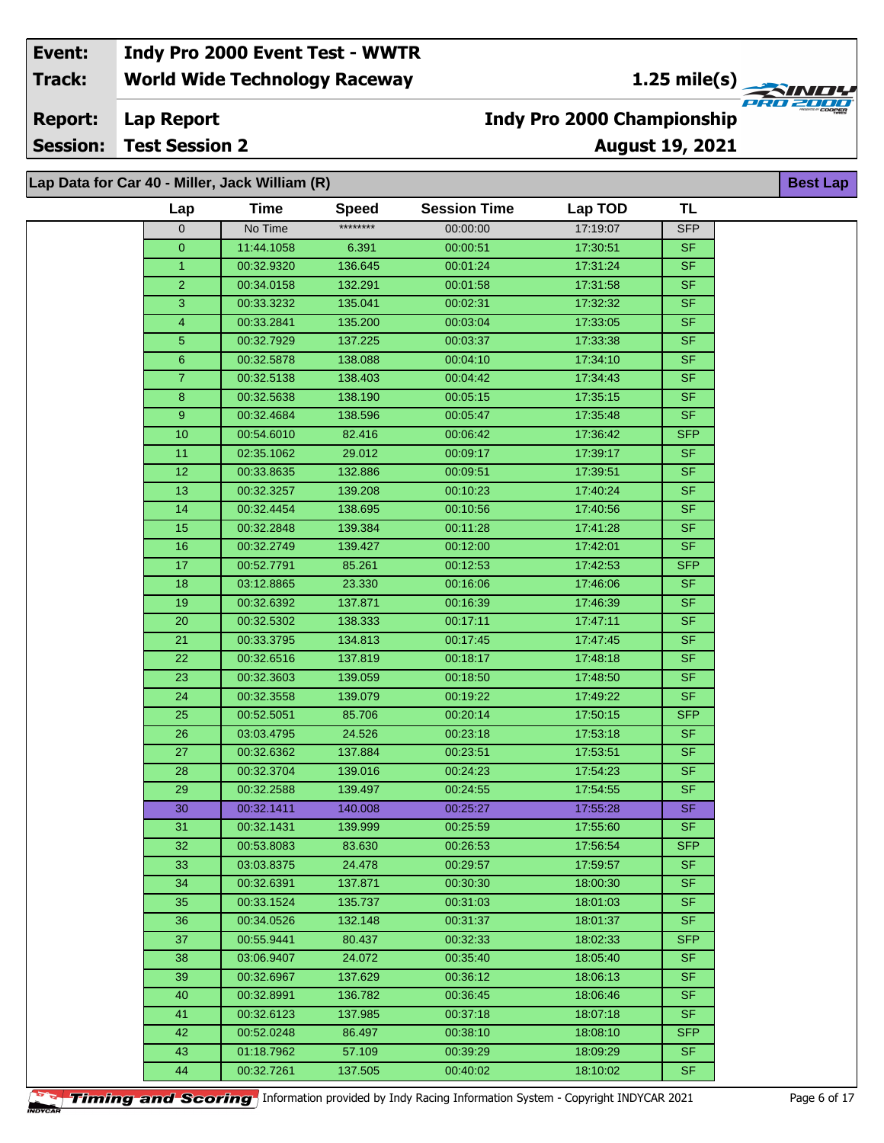**1.25 mile(s)**<br>
FRG 2006

**Lap Report Report:**

**Session: Test Session 2**

## **August 19, 2021 Indy Pro 2000 Championship**

| Lap Data for Car 40 - Miller, Jack William (R) |             |              |                     |          |            |  |
|------------------------------------------------|-------------|--------------|---------------------|----------|------------|--|
| Lap                                            | <b>Time</b> | <b>Speed</b> | <b>Session Time</b> | Lap TOD  | <b>TL</b>  |  |
| $\mathbf{0}$                                   | No Time     | ********     | 00:00:00            | 17:19:07 | <b>SFP</b> |  |
| $\overline{0}$                                 | 11:44.1058  | 6.391        | 00:00:51            | 17:30:51 | <b>SF</b>  |  |
| $\mathbf{1}$                                   | 00:32.9320  | 136.645      | 00:01:24            | 17:31:24 | <b>SF</b>  |  |
| $\overline{2}$                                 | 00:34.0158  | 132.291      | 00:01:58            | 17:31:58 | <b>SF</b>  |  |
| 3                                              | 00:33.3232  | 135.041      | 00:02:31            | 17:32:32 | <b>SF</b>  |  |
| 4                                              | 00:33.2841  | 135.200      | 00:03:04            | 17:33:05 | <b>SF</b>  |  |
| 5                                              | 00:32.7929  | 137.225      | 00:03:37            | 17:33:38 | <b>SF</b>  |  |
| 6                                              | 00:32.5878  | 138.088      | 00:04:10            | 17:34:10 | <b>SF</b>  |  |
| 7 <sup>1</sup>                                 | 00:32.5138  | 138.403      | 00:04:42            | 17:34:43 | <b>SF</b>  |  |
| 8                                              | 00:32.5638  | 138.190      | 00:05:15            | 17:35:15 | <b>SF</b>  |  |
| 9 <sup>°</sup>                                 | 00:32.4684  | 138.596      | 00:05:47            | 17:35:48 | <b>SF</b>  |  |
| 10                                             | 00:54.6010  | 82.416       | 00:06:42            | 17:36:42 | <b>SFP</b> |  |
| 11                                             | 02:35.1062  | 29.012       | 00:09:17            | 17:39:17 | <b>SF</b>  |  |
| 12                                             | 00:33.8635  | 132.886      | 00:09:51            | 17:39:51 | <b>SF</b>  |  |
| 13                                             | 00:32.3257  | 139.208      | 00:10:23            | 17:40:24 | <b>SF</b>  |  |
| 14                                             | 00:32.4454  | 138.695      | 00:10:56            | 17:40:56 | <b>SF</b>  |  |
| 15                                             | 00:32.2848  | 139.384      | 00:11:28            | 17:41:28 | <b>SF</b>  |  |
| 16                                             | 00:32.2749  | 139.427      | 00:12:00            | 17:42:01 | <b>SF</b>  |  |
| 17                                             | 00:52.7791  | 85.261       | 00:12:53            | 17:42:53 | <b>SFP</b> |  |
| 18                                             | 03:12.8865  | 23.330       | 00:16:06            | 17:46:06 | SF.        |  |
| 19                                             | 00:32.6392  | 137.871      | 00:16:39            | 17:46:39 | <b>SF</b>  |  |
| 20                                             | 00:32.5302  | 138.333      | 00:17:11            | 17:47:11 | <b>SF</b>  |  |
| 21                                             | 00:33.3795  | 134.813      | 00:17:45            | 17:47:45 | <b>SF</b>  |  |
| 22                                             | 00:32.6516  | 137.819      | 00:18:17            | 17:48:18 | <b>SF</b>  |  |
| 23                                             | 00:32.3603  | 139.059      | 00:18:50            | 17:48:50 | <b>SF</b>  |  |
| 24                                             | 00:32.3558  | 139.079      | 00:19:22            | 17:49:22 | <b>SF</b>  |  |
| 25                                             | 00:52.5051  | 85.706       | 00:20:14            | 17:50:15 | <b>SFP</b> |  |
| 26                                             | 03:03.4795  | 24.526       | 00:23:18            | 17:53:18 | <b>SF</b>  |  |
| 27                                             | 00:32.6362  | 137.884      | 00:23:51            | 17:53:51 | <b>SF</b>  |  |
| 28                                             | 00:32.3704  | 139.016      | 00:24:23            | 17:54:23 | <b>SF</b>  |  |
| 29                                             | 00:32.2588  | 139.497      | 00:24:55            | 17:54:55 | <b>SF</b>  |  |
| 30                                             | 00:32.1411  | 140.008      | 00:25:27            | 17:55:28 | <b>SF</b>  |  |
| 31.                                            | 00:32.1431  | 139.999      | 00:25:59            | 17:55:60 | SF         |  |
| 32                                             | 00:53.8083  | 83.630       | 00:26:53            | 17:56:54 | <b>SFP</b> |  |
| 33                                             | 03:03.8375  | 24.478       | 00:29:57            | 17:59:57 | <b>SF</b>  |  |
| 34                                             | 00:32.6391  | 137.871      | 00:30:30            | 18:00:30 | <b>SF</b>  |  |
| 35                                             | 00:33.1524  | 135.737      | 00:31:03            | 18:01:03 | <b>SF</b>  |  |
| 36                                             | 00:34.0526  | 132.148      | 00:31:37            | 18:01:37 | <b>SF</b>  |  |
| 37                                             | 00:55.9441  | 80.437       | 00:32:33            | 18:02:33 | <b>SFP</b> |  |
| 38                                             | 03:06.9407  | 24.072       | 00:35:40            | 18:05:40 | SF.        |  |
| 39                                             | 00:32.6967  | 137.629      | 00:36:12            | 18:06:13 | <b>SF</b>  |  |
| 40                                             | 00:32.8991  | 136.782      | 00:36:45            | 18:06:46 | <b>SF</b>  |  |
| 41                                             | 00:32.6123  | 137.985      | 00:37:18            | 18:07:18 | <b>SF</b>  |  |
| 42                                             | 00:52.0248  | 86.497       | 00:38:10            | 18:08:10 | <b>SFP</b> |  |
| 43                                             | 01:18.7962  | 57.109       | 00:39:29            | 18:09:29 | <b>SF</b>  |  |
| 44                                             | 00:32.7261  | 137.505      | 00:40:02            | 18:10:02 | <b>SF</b>  |  |



**Timing and Scoring** Information provided by Indy Racing Information System - Copyright INDYCAR 2021 Page 6 of 17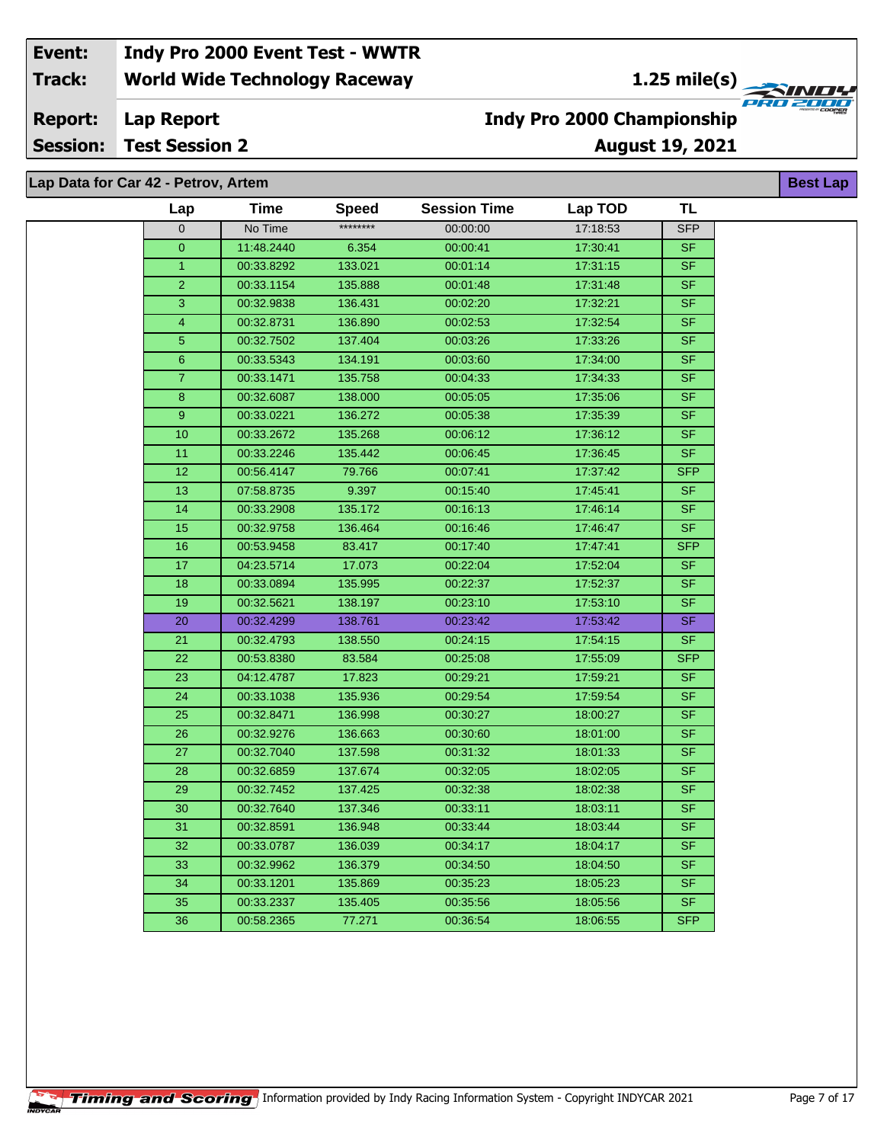**1.25 mile(s)**<br>
FRU 2000

#### **Lap Report Report:**

**Session: Test Session 2**

## **August 19, 2021 Indy Pro 2000 Championship**

**Best Lap**

**Lap Data for Car 42 - Petrov, Artem**

| Lap              | <b>Time</b> | <b>Speed</b> | <b>Session Time</b> | Lap TOD  | <b>TL</b>                |
|------------------|-------------|--------------|---------------------|----------|--------------------------|
| $\overline{0}$   | No Time     | ********     | 00:00:00            | 17:18:53 | <b>SFP</b>               |
| $\overline{0}$   | 11:48.2440  | 6.354        | 00:00:41            | 17:30:41 | <b>SF</b>                |
| $\overline{1}$   | 00:33.8292  | 133.021      | 00:01:14            | 17:31:15 | <b>SF</b>                |
| $\overline{2}$   | 00:33.1154  | 135.888      | 00:01:48            | 17:31:48 | <b>SF</b>                |
| 3                | 00:32.9838  | 136.431      | 00:02:20            | 17:32:21 | <b>SF</b>                |
| $\overline{4}$   | 00:32.8731  | 136.890      | 00:02:53            | 17:32:54 | <b>SF</b>                |
| $\overline{5}$   | 00:32.7502  | 137.404      | 00:03:26            | 17:33:26 | <b>SF</b>                |
| $6\phantom{a}$   | 00:33.5343  | 134.191      | 00:03:60            | 17:34:00 | <b>SF</b>                |
| $\overline{7}$   | 00:33.1471  | 135.758      | 00:04:33            | 17:34:33 | <b>SF</b>                |
| 8                | 00:32.6087  | 138.000      | 00:05:05            | 17:35:06 | $\overline{\mathsf{SF}}$ |
| $\boldsymbol{9}$ | 00:33.0221  | 136.272      | 00:05:38            | 17:35:39 | <b>SF</b>                |
| 10               | 00:33.2672  | 135.268      | 00:06:12            | 17:36:12 | <b>SF</b>                |
| 11               | 00:33.2246  | 135.442      | 00:06:45            | 17:36:45 | <b>SF</b>                |
| $\overline{12}$  | 00:56.4147  | 79.766       | 00:07:41            | 17:37:42 | <b>SFP</b>               |
| 13               | 07:58.8735  | 9.397        | 00:15:40            | 17:45:41 | <b>SF</b>                |
| 14               | 00:33.2908  | 135.172      | 00:16:13            | 17:46:14 | <b>SF</b>                |
| 15               | 00:32.9758  | 136.464      | 00.16:46            | 17:46:47 | <b>SF</b>                |
| 16               | 00:53.9458  | 83.417       | 00:17:40            | 17:47:41 | <b>SFP</b>               |
| 17               | 04:23.5714  | 17.073       | 00:22:04            | 17:52:04 | <b>SF</b>                |
| 18               | 00:33.0894  | 135.995      | 00:22:37            | 17:52:37 | <b>SF</b>                |
| 19               | 00:32.5621  | 138.197      | 00:23:10            | 17:53:10 | <b>SF</b>                |
| 20               | 00:32.4299  | 138.761      | 00:23:42            | 17:53:42 | <b>SF</b>                |
| 21               | 00:32.4793  | 138.550      | 00:24:15            | 17:54:15 | <b>SF</b>                |
| 22               | 00:53.8380  | 83.584       | 00:25:08            | 17:55:09 | <b>SFP</b>               |
| 23               | 04:12.4787  | 17.823       | 00:29:21            | 17:59:21 | <b>SF</b>                |
| $\overline{24}$  | 00:33.1038  | 135.936      | 00:29:54            | 17:59:54 | <b>SF</b>                |
| 25               | 00:32.8471  | 136.998      | 00:30:27            | 18:00:27 | <b>SF</b>                |
| 26               | 00:32.9276  | 136.663      | 00:30:60            | 18:01:00 | <b>SF</b>                |
| 27               | 00:32.7040  | 137.598      | 00:31:32            | 18:01:33 | <b>SF</b>                |
| $\overline{28}$  | 00:32.6859  | 137.674      | 00:32:05            | 18:02:05 | <b>SF</b>                |
| 29               | 00:32.7452  | 137.425      | 00:32:38            | 18:02:38 | $S_{F}$                  |
| $\overline{30}$  | 00:32.7640  | 137.346      | 00:33:11            | 18:03:11 | <b>SF</b>                |
| 31               | 00:32.8591  | 136.948      | 00:33:44            | 18:03:44 | <b>SF</b>                |
| 32               | 00:33.0787  | 136.039      | 00:34:17            | 18:04:17 | <b>SF</b>                |
| 33               | 00:32.9962  | 136.379      | 00:34:50            | 18:04:50 | <b>SF</b>                |
| 34               | 00:33.1201  | 135.869      | 00:35:23            | 18:05:23 | <b>SF</b>                |
| $\overline{35}$  | 00:33.2337  | 135.405      | 00:35:56            | 18:05:56 | <b>SF</b>                |
| 36               | 00:58.2365  | 77.271       | 00:36:54            | 18:06:55 | <b>SFP</b>               |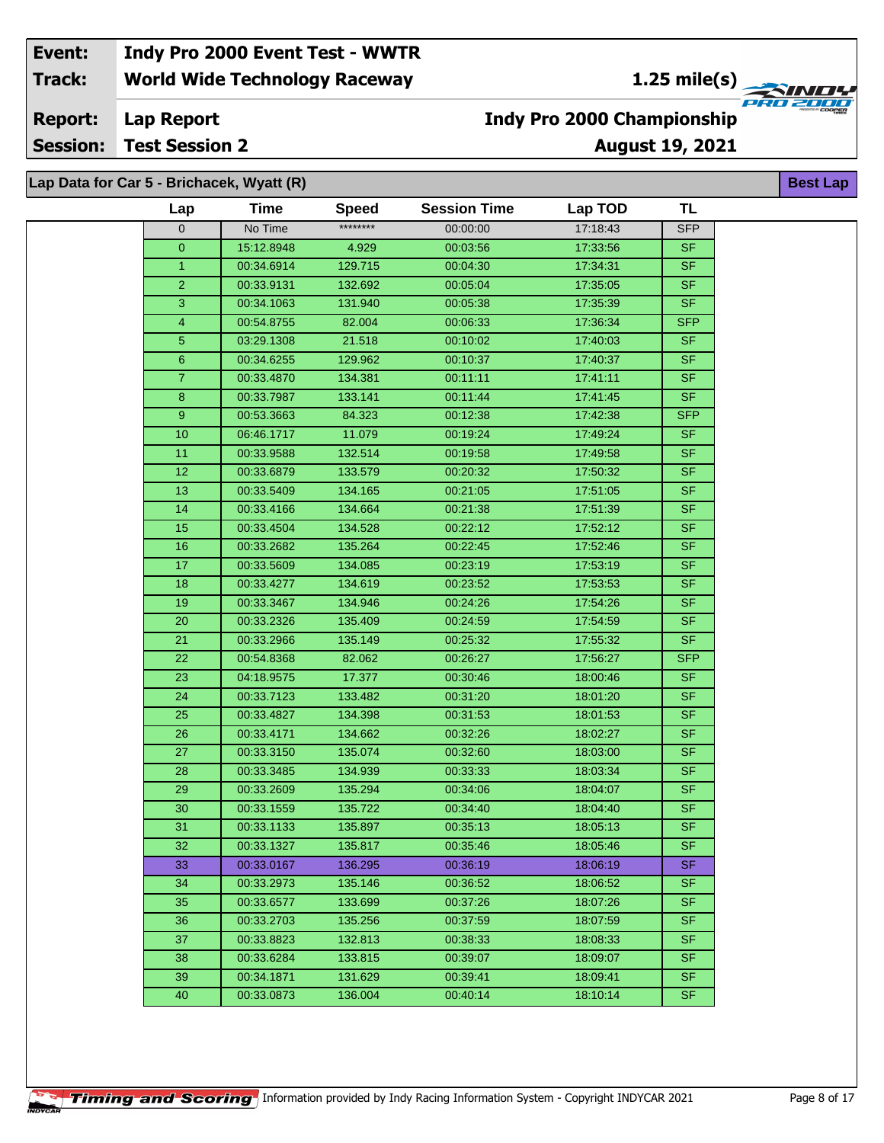**1.25 mile(s)**<br>
FRU 2004

**Lap Report Report:**

**Session: Test Session 2**

## **Indy Pro 2000 Championship**

**August 19, 2021**

| Lap            | <b>Time</b> | <b>Speed</b> | <b>Session Time</b> | Lap TOD  | <b>TL</b>                |
|----------------|-------------|--------------|---------------------|----------|--------------------------|
| $\mathbf 0$    | No Time     | ********     | 00:00:00            | 17:18:43 | <b>SFP</b>               |
| $\overline{0}$ | 15:12.8948  | 4.929        | 00:03:56            | 17:33:56 | <b>SF</b>                |
| $\overline{1}$ | 00:34.6914  | 129.715      | 00:04:30            | 17:34:31 | <b>SF</b>                |
| $\overline{2}$ | 00:33.9131  | 132.692      | 00:05:04            | 17:35:05 | <b>SF</b>                |
| 3              | 00:34.1063  | 131.940      | 00:05:38            | 17:35:39 | $\overline{\mathsf{SF}}$ |
| 4              | 00:54.8755  | 82.004       | 00:06:33            | 17:36:34 | <b>SFP</b>               |
| 5              | 03:29.1308  | 21.518       | 00:10:02            | 17:40:03 | <b>SF</b>                |
| 6              | 00:34.6255  | 129.962      | 00:10:37            | 17:40:37 | <b>SF</b>                |
| $\overline{7}$ | 00:33.4870  | 134.381      | 00:11:11            | 17:41:11 | <b>SF</b>                |
| 8              | 00:33.7987  | 133.141      | 00:11:44            | 17:41:45 | SF                       |
| 9              | 00:53.3663  | 84.323       | 00:12:38            | 17:42:38 | <b>SFP</b>               |
| 10             | 06:46.1717  | 11.079       | 00:19:24            | 17:49:24 | <b>SF</b>                |
| 11             | 00:33.9588  | 132.514      | 00:19:58            | 17:49:58 | <b>SF</b>                |
| 12             | 00:33.6879  | 133.579      | 00:20:32            | 17:50:32 | <b>SF</b>                |
| 13             | 00:33.5409  | 134.165      | 00:21:05            | 17:51:05 | <b>SF</b>                |
| 14             | 00:33.4166  | 134.664      | 00:21:38            | 17:51:39 | <b>SF</b>                |
| 15             | 00:33.4504  | 134.528      | 00:22:12            | 17:52:12 | $S$ F                    |
| 16             | 00:33.2682  | 135.264      | 00:22:45            | 17:52:46 | <b>SF</b>                |
| 17             | 00:33.5609  | 134.085      | 00:23:19            | 17:53:19 | <b>SF</b>                |
| 18             | 00:33.4277  | 134.619      | 00:23:52            | 17:53:53 | <b>SF</b>                |
| 19             | 00:33.3467  | 134.946      | 00:24:26            | 17:54:26 | <b>SF</b>                |
| 20             | 00:33.2326  | 135.409      | 00:24:59            | 17:54:59 | SF                       |
| 21             | 00:33.2966  | 135.149      | 00:25:32            | 17:55:32 | $\overline{\mathsf{SF}}$ |
| 22             | 00:54.8368  | 82.062       | 00:26:27            | 17:56:27 | <b>SFP</b>               |
| 23             | 04:18.9575  | 17.377       | 00:30:46            | 18:00:46 | <b>SF</b>                |
| 24             | 00:33.7123  | 133.482      | 00:31:20            | 18:01:20 | <b>SF</b>                |
| 25             | 00:33.4827  | 134.398      | 00:31:53            | 18:01:53 | <b>SF</b>                |
| 26             | 00:33.4171  | 134.662      | 00:32:26            | 18:02:27 | <b>SF</b>                |
| 27             | 00:33.3150  | 135.074      | 00:32:60            | 18:03:00 | $S_{F}$                  |
| 28             | 00:33.3485  | 134.939      | 00:33:33            | 18:03:34 | $\overline{\mathsf{SF}}$ |
| 29             | 00:33.2609  | 135.294      | 00:34:06            | 18:04:07 | <b>SF</b>                |
| 30             | 00:33.1559  | 135.722      | 00:34:40            | 18:04:40 | SF                       |
| 31             | 00:33.1133  | 135.897      | 00:35:13            | 18:05:13 | <b>SF</b>                |
| 32             | 00:33.1327  | 135.817      | 00:35:46            | 18:05:46 | <b>SF</b>                |
| 33             | 00:33.0167  | 136.295      | 00:36:19            | 18:06:19 | SF.                      |
| 34             | 00:33.2973  | 135.146      | 00:36:52            | 18:06:52 | <b>SF</b>                |
| 35             | 00:33.6577  | 133.699      | 00:37:26            | 18:07:26 | SF.                      |
| 36             | 00:33.2703  | 135.256      | 00:37:59            | 18:07:59 | SF.                      |
| 37             | 00:33.8823  | 132.813      | 00:38:33            | 18:08:33 | <b>SF</b>                |
| 38             | 00:33.6284  | 133.815      | 00:39:07            | 18:09:07 | SF.                      |
| 39             | 00:34.1871  | 131.629      | 00:39:41            | 18:09:41 | SF.                      |
| 40             | 00:33.0873  | 136.004      | 00:40:14            | 18:10:14 | SF                       |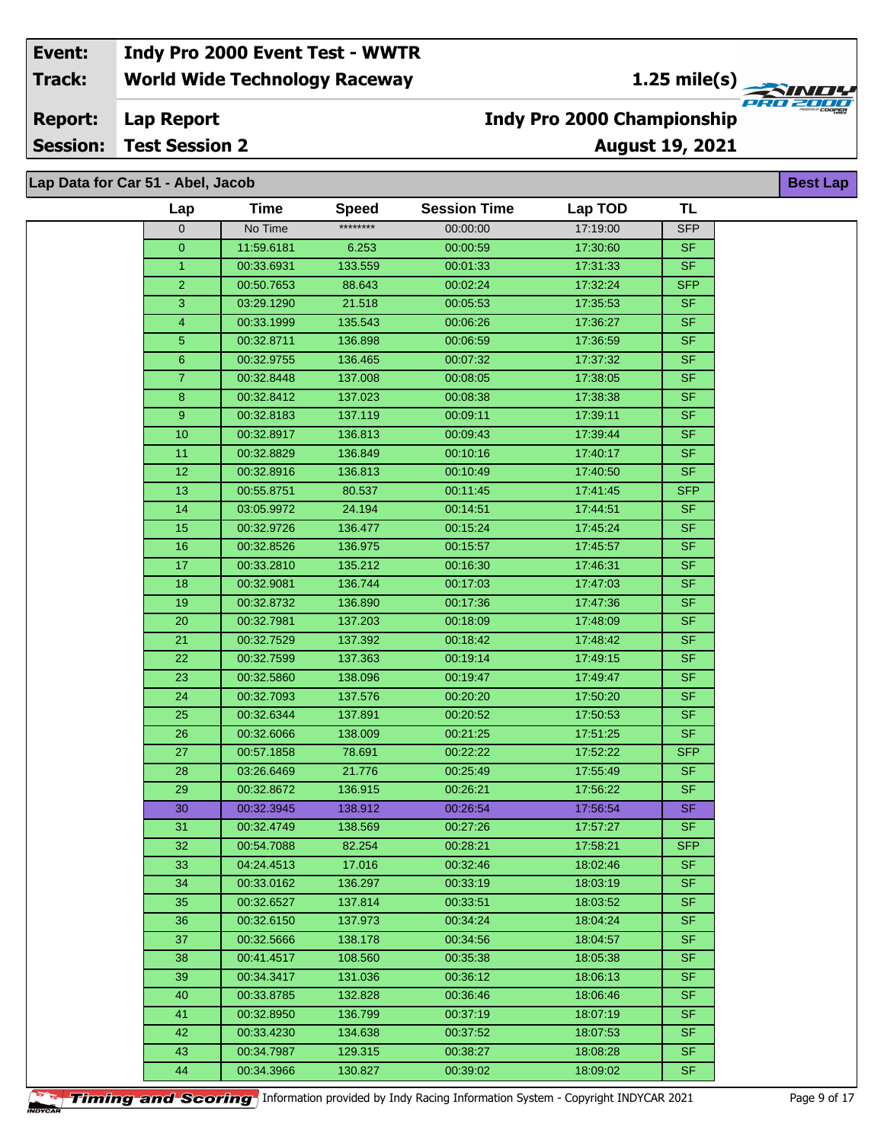**1.25 mile(s)**<br> **1.25 mile(s)** 

#### **Lap Report Report:**

**Session: Test Session 2**

**Lap Data for Car 51 - Abel, Jacob**

## **August 19, 2021 Indy Pro 2000 Championship**

| Lap             | Time       | <b>Speed</b> | <b>Session Time</b> | Lap TOD  | TL         |
|-----------------|------------|--------------|---------------------|----------|------------|
| 0               | No Time    | ********     | 00:00:00            | 17:19:00 | <b>SFP</b> |
| $\overline{0}$  | 11:59.6181 | 6.253        | 00:00:59            | 17:30:60 | <b>SF</b>  |
| 1 <sup>1</sup>  | 00:33.6931 | 133.559      | 00:01:33            | 17:31:33 | <b>SF</b>  |
| $\overline{2}$  | 00:50.7653 | 88.643       | 00:02:24            | 17:32:24 | <b>SFP</b> |
| 3               | 03:29.1290 | 21.518       | 00:05:53            | 17:35:53 | <b>SF</b>  |
| 4               | 00:33.1999 | 135.543      | 00:06:26            | 17:36:27 | <b>SF</b>  |
| 5               | 00:32.8711 | 136.898      | 00:06:59            | 17:36:59 | <b>SF</b>  |
| 6               | 00:32.9755 | 136.465      | 00:07:32            | 17:37:32 | <b>SF</b>  |
| $\overline{7}$  | 00:32.8448 | 137.008      | 00:08:05            | 17:38:05 | <b>SF</b>  |
| 8               | 00:32.8412 | 137.023      | 00:08:38            | 17:38:38 | SF         |
| 9               | 00:32.8183 | 137.119      | 00:09:11            | 17:39:11 | <b>SF</b>  |
| 10 <sup>1</sup> | 00:32.8917 | 136.813      | 00:09:43            | 17:39:44 | <b>SF</b>  |
| 11              | 00:32.8829 | 136.849      | 00:10:16            | 17:40:17 | <b>SF</b>  |
| $\overline{12}$ | 00:32.8916 | 136.813      | 00:10:49            | 17:40:50 | <b>SF</b>  |
| 13              | 00:55.8751 | 80.537       | 00:11:45            | 17:41:45 | <b>SFP</b> |
| 14              | 03:05.9972 | 24.194       | 00:14:51            | 17:44:51 | <b>SF</b>  |
| 15              | 00:32.9726 | 136.477      | 00:15:24            | 17:45:24 | <b>SF</b>  |
| 16              | 00:32.8526 | 136.975      | 00:15:57            | 17:45:57 | <b>SF</b>  |
| 17              | 00:33.2810 | 135.212      | 00:16:30            | 17:46:31 | <b>SF</b>  |
| 18              | 00:32.9081 | 136.744      | 00:17:03            | 17:47:03 | <b>SF</b>  |
| 19              | 00:32.8732 | 136.890      | 00:17:36            | 17:47:36 | <b>SF</b>  |
| 20              | 00:32.7981 | 137.203      | 00:18:09            | 17:48:09 | <b>SF</b>  |
| 21              | 00:32.7529 | 137.392      | 00:18:42            | 17:48:42 | <b>SF</b>  |
| 22              | 00:32.7599 | 137.363      | 00:19:14            | 17:49:15 | <b>SF</b>  |
| 23              | 00:32.5860 | 138.096      | 00:19:47            | 17:49:47 | <b>SF</b>  |
| 24              | 00:32.7093 | 137.576      | 00:20:20            | 17:50:20 | <b>SF</b>  |
| 25              | 00:32.6344 | 137.891      | 00:20:52            | 17:50:53 | <b>SF</b>  |
| 26              | 00:32.6066 | 138.009      | 00:21:25            | 17:51:25 | <b>SF</b>  |
| 27              | 00:57.1858 | 78.691       | 00:22:22            | 17:52:22 | <b>SFP</b> |
| 28              | 03:26.6469 | 21.776       | 00:25:49            | 17:55:49 | <b>SF</b>  |
| 29              | 00:32.8672 | 136.915      | 00:26:21            | 17:56:22 | <b>SF</b>  |
| 30              | 00:32.3945 | 138.912      | 00:26:54            | 17:56:54 | SF         |
| 31              | 00:32.4749 | 138.569      | 00:27:26            | 17:57:27 | <b>SF</b>  |
| 32              | 00:54.7088 | 82.254       | 00:28:21            | 17:58:21 | SFP.       |
| 33              | 04:24.4513 | 17.016       | 00:32:46            | 18:02:46 | <b>SF</b>  |
| 34              | 00:33.0162 | 136.297      | 00:33:19            | 18:03:19 | <b>SF</b>  |
| 35              | 00:32.6527 | 137.814      | 00:33:51            | 18:03:52 | <b>SF</b>  |
| 36              | 00:32.6150 | 137.973      | 00:34:24            | 18:04:24 | <b>SF</b>  |
| 37              | 00:32.5666 | 138.178      | 00:34:56            | 18:04:57 | <b>SF</b>  |
| 38              | 00:41.4517 | 108.560      | 00:35:38            | 18:05:38 | <b>SF</b>  |
| 39              | 00:34.3417 | 131.036      | 00:36:12            | 18:06:13 | <b>SF</b>  |
| 40              | 00:33.8785 | 132.828      | 00:36:46            | 18:06:46 | <b>SF</b>  |
| 41              | 00:32.8950 | 136.799      | 00:37:19            | 18:07:19 | <b>SF</b>  |
| 42              | 00:33.4230 | 134.638      | 00:37:52            | 18:07:53 | <b>SF</b>  |
| 43              | 00:34.7987 | 129.315      | 00:38:27            | 18:08:28 | <b>SF</b>  |
| 44              | 00:34.3966 | 130.827      | 00:39:02            | 18:09:02 | <b>SF</b>  |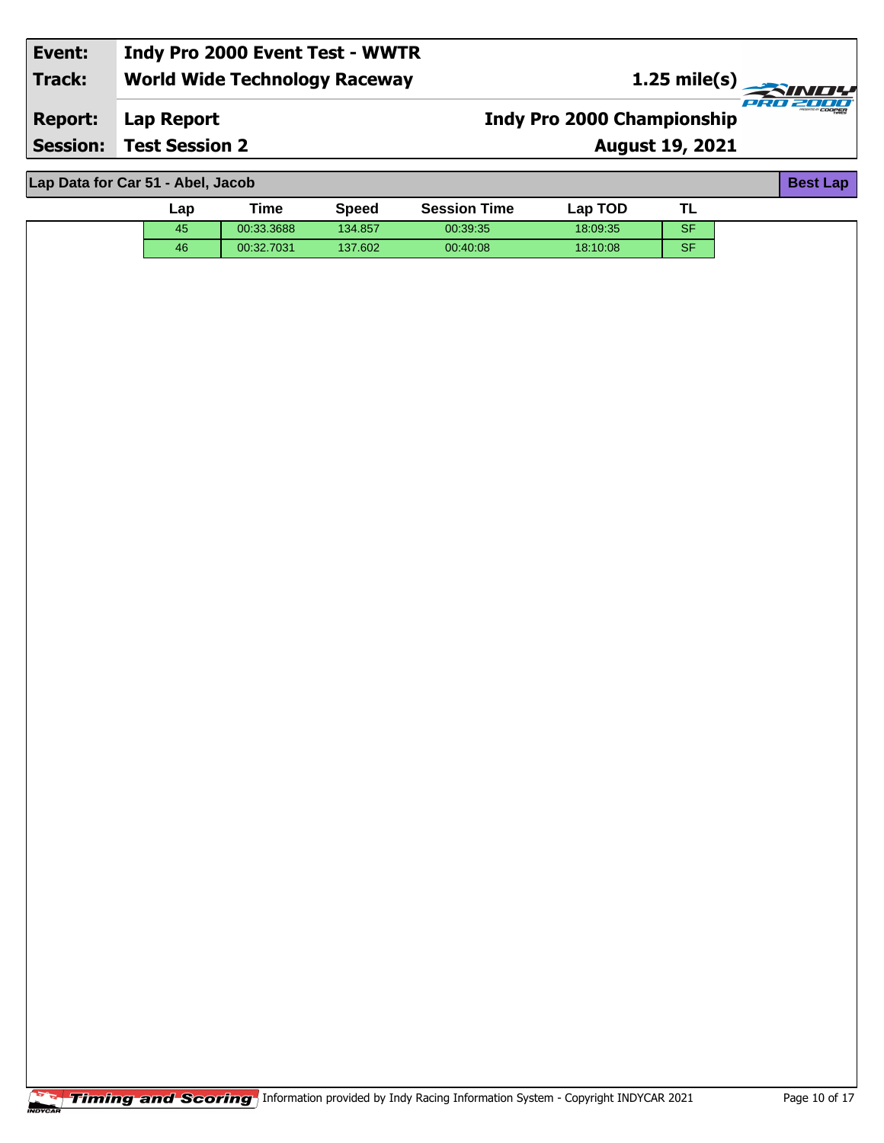| Event:         | Indy Pro 2000 Event Test - WWTR      |                                   |                                     |
|----------------|--------------------------------------|-----------------------------------|-------------------------------------|
| Track:         | <b>World Wide Technology Raceway</b> |                                   |                                     |
| <b>Report:</b> | Lap Report                           | <b>Indy Pro 2000 Championship</b> | PRO 2000<br><i>musumo ir COOPER</i> |
|                | <b>Session: Test Session 2</b>       | <b>August 19, 2021</b>            |                                     |
|                |                                      |                                   |                                     |

**Lap Data for Car 51 - Abel, Jacob**

| Lap Data for Car 51 - Abel, Jacob<br><b>Best Lap</b> |     |            |              |                     |          |           |  |  |
|------------------------------------------------------|-----|------------|--------------|---------------------|----------|-----------|--|--|
|                                                      | ∟ap | Time       | <b>Speed</b> | <b>Session Time</b> | Lap TOD  | <b>TL</b> |  |  |
|                                                      | 45  | 00:33.3688 | 134.857      | 00:39:35            | 18:09:35 | <b>SF</b> |  |  |
|                                                      | 46  | 00:32.7031 | 137.602      | 00:40:08            | 18:10:08 | <b>SF</b> |  |  |
|                                                      |     |            |              |                     |          |           |  |  |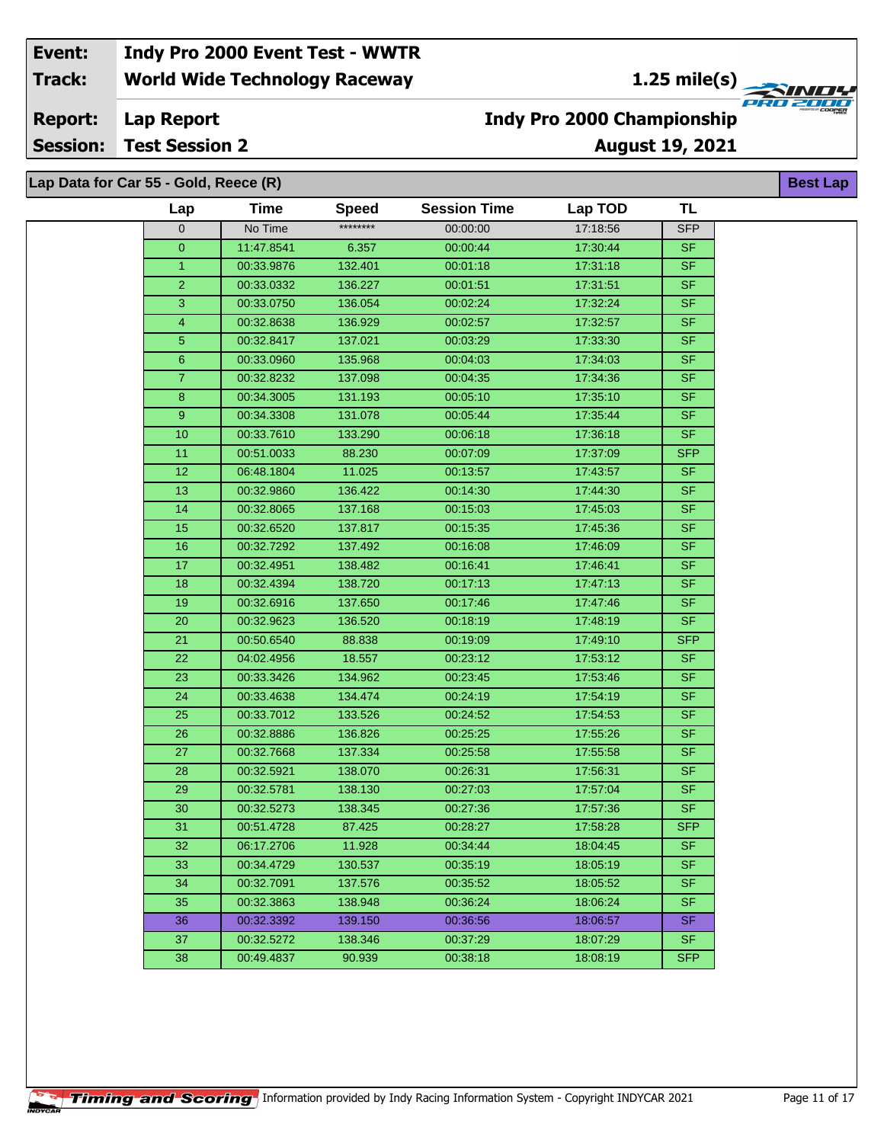**1.25 mile(s)**<br>
FRU 2000

**Lap Report Report:**

**Session: Test Session 2**

## **Indy Pro 2000 Championship**

**August 19, 2021**

| Lap Data for Car 55 - Gold, Reece (R) |             |              |                     |          |            |  |  |
|---------------------------------------|-------------|--------------|---------------------|----------|------------|--|--|
| Lap                                   | <b>Time</b> | <b>Speed</b> | <b>Session Time</b> | Lap TOD  | <b>TL</b>  |  |  |
| 0                                     | No Time     | ********     | 00:00:00            | 17:18:56 | <b>SFP</b> |  |  |
| $\overline{0}$                        | 11:47.8541  | 6.357        | 00:00:44            | 17:30:44 | <b>SF</b>  |  |  |
| $\mathbf{1}$                          | 00:33.9876  | 132.401      | 00:01:18            | 17:31:18 | <b>SF</b>  |  |  |
| $\overline{2}$                        | 00:33.0332  | 136.227      | 00:01:51            | 17:31:51 | <b>SF</b>  |  |  |
| 3                                     | 00:33.0750  | 136.054      | 00:02:24            | 17:32:24 | <b>SF</b>  |  |  |
| 4                                     | 00:32.8638  | 136.929      | 00:02:57            | 17:32:57 | <b>SF</b>  |  |  |
| 5 <sup>5</sup>                        | 00:32.8417  | 137.021      | 00:03:29            | 17:33:30 | <b>SF</b>  |  |  |
| $6\phantom{.}$                        | 00:33.0960  | 135.968      | 00:04:03            | 17:34:03 | <b>SF</b>  |  |  |
| $\mathbf{7}$                          | 00:32.8232  | 137.098      | 00:04:35            | 17:34:36 | <b>SF</b>  |  |  |
| 8                                     | 00:34.3005  | 131.193      | 00:05:10            | 17:35:10 | <b>SF</b>  |  |  |
| 9                                     | 00:34.3308  | 131.078      | 00:05:44            | 17.35.44 | <b>SF</b>  |  |  |
| 10                                    | 00:33.7610  | 133.290      | 00:06:18            | 17:36:18 | <b>SF</b>  |  |  |
| 11                                    | 00:51.0033  | 88.230       | 00:07:09            | 17:37:09 | <b>SFP</b> |  |  |
| 12                                    | 06:48.1804  | 11.025       | 00:13:57            | 17:43:57 | <b>SF</b>  |  |  |
| 13                                    | 00:32.9860  | 136.422      | 00:14:30            | 17:44:30 | <b>SF</b>  |  |  |
| 14                                    | 00:32.8065  | 137.168      | 00:15:03            | 17:45:03 | <b>SF</b>  |  |  |
| 15                                    | 00:32.6520  | 137.817      | 00:15:35            | 17:45:36 | <b>SF</b>  |  |  |
| 16                                    | 00:32.7292  | 137.492      | 00:16:08            | 17:46:09 | <b>SF</b>  |  |  |
| 17 <sub>2</sub>                       | 00:32.4951  | 138.482      | 00:16:41            | 17:46:41 | <b>SF</b>  |  |  |
| 18                                    | 00:32.4394  | 138.720      | 00:17:13            | 17:47:13 | <b>SF</b>  |  |  |
| 19                                    | 00:32.6916  | 137.650      | 00:17:46            | 17:47:46 | <b>SF</b>  |  |  |
| 20                                    | 00:32.9623  | 136.520      | 00:18:19            | 17:48:19 | <b>SF</b>  |  |  |
| 21                                    | 00:50.6540  | 88.838       | 00:19:09            | 17:49:10 | <b>SFP</b> |  |  |
| 22                                    | 04:02.4956  | 18.557       | 00:23:12            | 17:53:12 | <b>SF</b>  |  |  |
| 23                                    | 00:33.3426  | 134.962      | 00:23:45            | 17:53:46 | <b>SF</b>  |  |  |
| 24                                    | 00:33.4638  | 134.474      | 00:24:19            | 17:54:19 | <b>SF</b>  |  |  |
| 25                                    | 00:33.7012  | 133.526      | 00:24:52            | 17:54:53 | <b>SF</b>  |  |  |
| 26                                    | 00:32.8886  | 136.826      | 00:25:25            | 17:55:26 | <b>SF</b>  |  |  |
| 27                                    | 00:32.7668  | 137.334      | 00:25:58            | 17:55:58 | <b>SF</b>  |  |  |
| 28                                    | 00:32.5921  | 138.070      | 00:26:31            | 17:56:31 | <b>SF</b>  |  |  |
| 29                                    | 00:32.5781  | 138.130      | 00:27:03            | 17:57:04 | <b>SF</b>  |  |  |
| 30                                    | 00:32.5273  | 138.345      | 00:27:36            | 17:57:36 | <b>SF</b>  |  |  |
| 31                                    | 00:51.4728  | 87.425       | 00:28:27            | 17:58:28 | <b>SFP</b> |  |  |
| 32                                    | 06:17.2706  | 11.928       | 00:34:44            | 18:04:45 | <b>SF</b>  |  |  |
| 33                                    | 00:34.4729  | 130.537      | 00:35:19            | 18:05:19 | <b>SF</b>  |  |  |
| 34                                    | 00:32.7091  | 137.576      | 00:35:52            | 18:05:52 | <b>SF</b>  |  |  |
| 35                                    | 00:32.3863  | 138.948      | 00:36:24            | 18:06:24 | <b>SF</b>  |  |  |
| 36                                    | 00:32.3392  | 139.150      | 00:36:56            | 18:06:57 | <b>SF</b>  |  |  |
| 37                                    | 00:32.5272  | 138.346      | 00:37:29            | 18:07:29 | <b>SF</b>  |  |  |
| 38                                    | 00:49.4837  | 90.939       | 00:38:18            | 18:08:19 | <b>SFP</b> |  |  |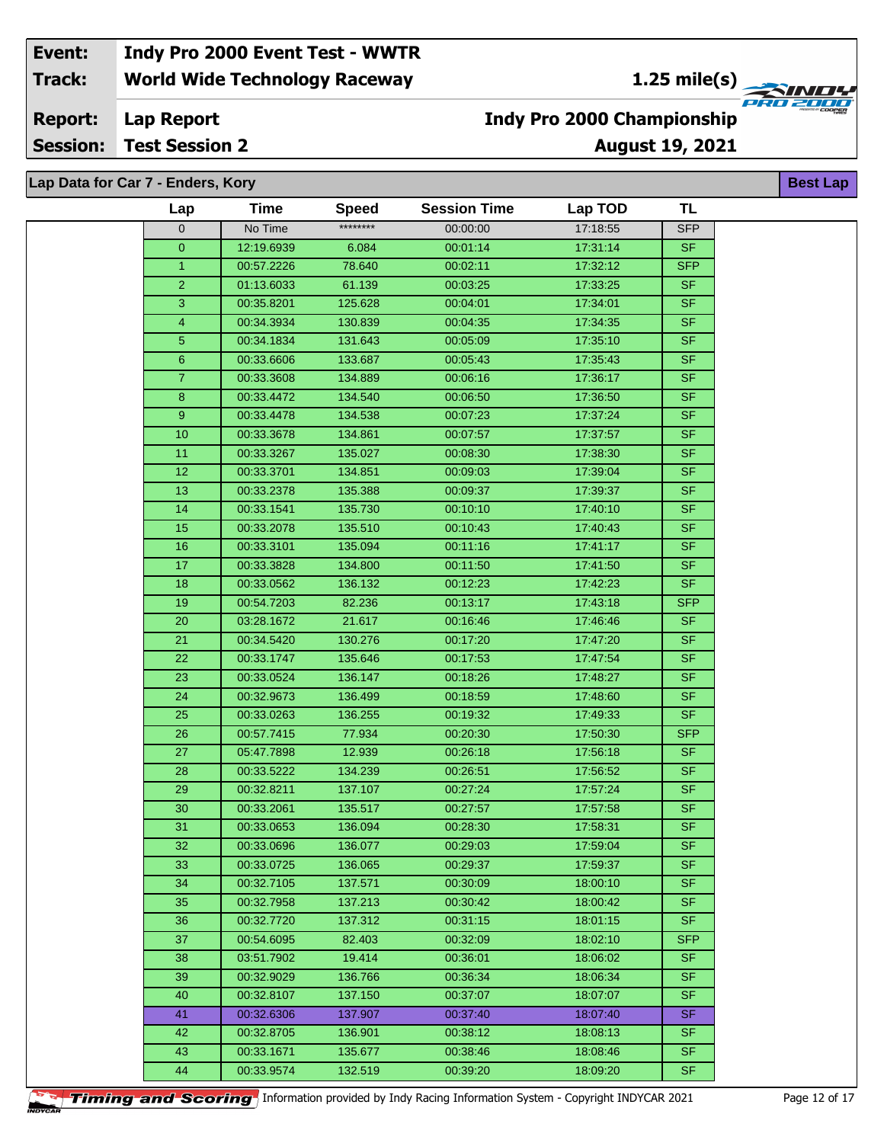**1.25 mile(s)**<br>
FRU 2004

#### **Lap Report Report:**

**Session: Test Session 2**

## **August 19, 2021 Indy Pro 2000 Championship**

**Best Lap**

**Lap Data for Car 7 - Enders, Kory**

| Lap              | <b>Time</b> | <b>Speed</b> | <b>Session Time</b> | Lap TOD  | <b>TL</b>                |  |
|------------------|-------------|--------------|---------------------|----------|--------------------------|--|
| $\overline{0}$   | No Time     | ********     | 00:00:00            | 17:18:55 | <b>SFP</b>               |  |
| $\mathbf 0$      | 12:19.6939  | 6.084        | 00:01:14            | 17:31:14 | <b>SF</b>                |  |
| $\mathbf{1}$     | 00:57.2226  | 78.640       | 00:02:11            | 17:32:12 | <b>SFP</b>               |  |
| $\overline{2}$   | 01:13.6033  | 61.139       | 00:03:25            | 17:33:25 | <b>SF</b>                |  |
| $\overline{3}$   | 00:35.8201  | 125.628      | 00:04:01            | 17:34:01 | $\overline{\mathsf{SF}}$ |  |
| $\overline{4}$   | 00:34.3934  | 130.839      | 00:04:35            | 17:34:35 | <b>SF</b>                |  |
| 5                | 00:34.1834  | 131.643      | 00:05:09            | 17:35:10 | S <sub>F</sub>           |  |
| 6                | 00:33.6606  | 133.687      | 00:05:43            | 17:35:43 | <b>SF</b>                |  |
| $\overline{7}$   | 00:33.3608  | 134.889      | 00:06:16            | 17:36:17 | <b>SF</b>                |  |
| $\boldsymbol{8}$ | 00:33.4472  | 134.540      | 00:06:50            | 17:36:50 | <b>SF</b>                |  |
| $\boldsymbol{9}$ | 00:33.4478  | 134.538      | 00:07:23            | 17:37:24 | <b>SF</b>                |  |
| 10               | 00:33.3678  | 134.861      | 00:07:57            | 17:37:57 | <b>SF</b>                |  |
| 11               | 00:33.3267  | 135.027      | 00:08:30            | 17:38:30 | S <sub>F</sub>           |  |
| 12               | 00:33.3701  | 134.851      | 00:09:03            | 17:39:04 | <b>SF</b>                |  |
| 13               | 00:33.2378  | 135.388      | 00:09:37            | 17:39:37 | <b>SF</b>                |  |
| 14               | 00:33.1541  | 135.730      | 00:10:10            | 17:40:10 | <b>SF</b>                |  |
| 15               | 00:33.2078  | 135.510      | 00:10:43            | 17:40:43 | <b>SF</b>                |  |
| 16               | 00:33.3101  | 135.094      | 00:11:16            | 17:41:17 | <b>SF</b>                |  |
| $\overline{17}$  | 00:33.3828  | 134.800      | 00:11:50            | 17:41:50 | SF                       |  |
| 18               | 00:33.0562  | 136.132      | 00:12:23            | 17:42:23 | <b>SF</b>                |  |
| 19               | 00:54.7203  | 82.236       | 00:13:17            | 17:43:18 | <b>SFP</b>               |  |
| $20\,$           | 03:28.1672  | 21.617       | 00:16:46            | 17:46:46 | <b>SF</b>                |  |
| 21               | 00:34.5420  | 130.276      | 00:17:20            | 17:47:20 | <b>SF</b>                |  |
| 22               | 00:33.1747  | 135.646      | 00:17:53            | 17:47:54 | <b>SF</b>                |  |
| 23               | 00:33.0524  | 136.147      | 00:18:26            | 17:48:27 | <b>SF</b>                |  |
| 24               | 00:32.9673  | 136.499      | 00:18:59            | 17:48:60 | $\overline{\mathsf{SF}}$ |  |
| 25               | 00:33.0263  | 136.255      | 00:19:32            | 17:49:33 | S <sub>F</sub>           |  |
| 26               | 00:57.7415  | 77.934       | 00:20:30            | 17:50:30 | <b>SFP</b>               |  |
| 27               | 05:47.7898  | 12.939       | 00:26:18            | 17:56:18 | <b>SF</b>                |  |
| $\overline{28}$  | 00:33.5222  | 134.239      | 00:26:51            | 17:56:52 | <b>SF</b>                |  |
| 29               | 00:32.8211  | 137.107      | 00:27:24            | 17:57:24 | <b>SF</b>                |  |
| 30               | 00:33.2061  | 135.517      | 00:27:57            | 17:57:58 | S <sub>F</sub>           |  |
| 31               | 00:33.0653  | 136.094      | 00:28:30            | 17:58:31 | SF                       |  |
| 32               | 00:33.0696  | 136.077      | 00:29:03            | 17:59:04 | <b>SF</b>                |  |
| 33               | 00:33.0725  | 136.065      | 00:29:37            | 17:59:37 | <b>SF</b>                |  |
| 34               | 00:32.7105  | 137.571      | 00:30:09            | 18:00:10 | <b>SF</b>                |  |
| 35               | 00:32.7958  | 137.213      | 00:30:42            | 18:00:42 | <b>SF</b>                |  |
| 36               | 00:32.7720  | 137.312      | 00:31:15            | 18:01:15 | <b>SF</b>                |  |
| 37               | 00:54.6095  | 82.403       | 00:32:09            | 18:02:10 | <b>SFP</b>               |  |
| 38               | 03:51.7902  | 19.414       | 00:36:01            | 18:06:02 | <b>SF</b>                |  |
| 39               | 00:32.9029  | 136.766      | 00:36:34            | 18:06:34 | <b>SF</b>                |  |
| 40               | 00:32.8107  | 137.150      | 00:37:07            | 18:07:07 | <b>SF</b>                |  |
| 41               | 00:32.6306  | 137.907      | 00:37:40            | 18:07:40 | <b>SF</b>                |  |
| 42               | 00:32.8705  | 136.901      | 00:38:12            | 18:08:13 | <b>SF</b>                |  |
| 43               | 00:33.1671  | 135.677      | 00:38:46            | 18:08:46 | <b>SF</b>                |  |
| 44               | 00:33.9574  | 132.519      | 00:39:20            | 18:09:20 | <b>SF</b>                |  |

**Timing and Scoring** Information provided by Indy Racing Information System - Copyright INDYCAR 2021 Page 12 of 17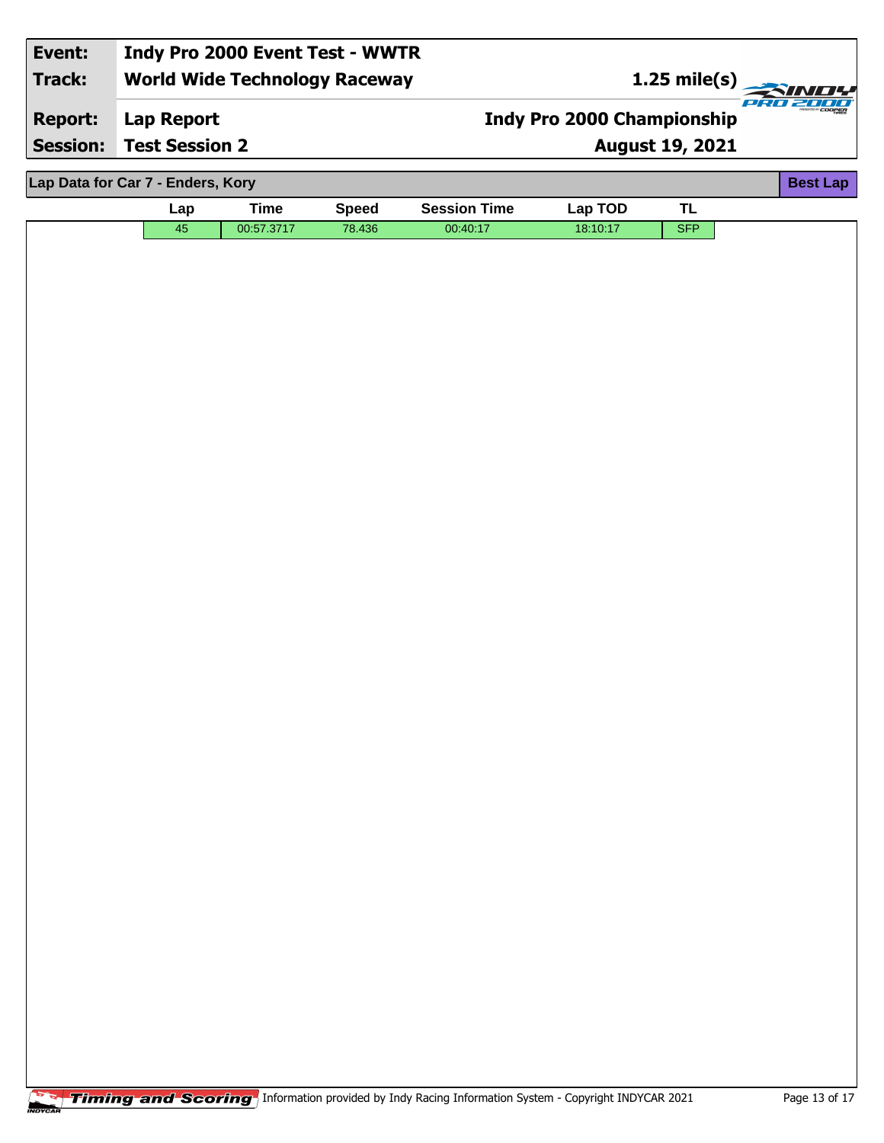| Event:         | Indy Pro 2000 Event Test - WWTR      |                                   |                           |
|----------------|--------------------------------------|-----------------------------------|---------------------------|
| Track:         | <b>World Wide Technology Raceway</b> | 1.25 mile(s)                      |                           |
| <b>Report:</b> | Lap Report                           | <b>Indy Pro 2000 Championship</b> | <b>MESERIES OF COOPER</b> |
|                | <b>Session: Test Session 2</b>       | <b>August 19, 2021</b>            |                           |
|                |                                      |                                   |                           |
|                | Lap Data for Car 7 - Enders, Kory    |                                   | <b>Best Lap</b>           |

|  | Lap | Time       | Speed  | <b>Session Time</b> | $Lap$ TOD | . . |  |  |
|--|-----|------------|--------|---------------------|-----------|-----|--|--|
|  | 45  | 00:57.3717 | 78.436 | 00:40:17            | 18:10:17  | SFP |  |  |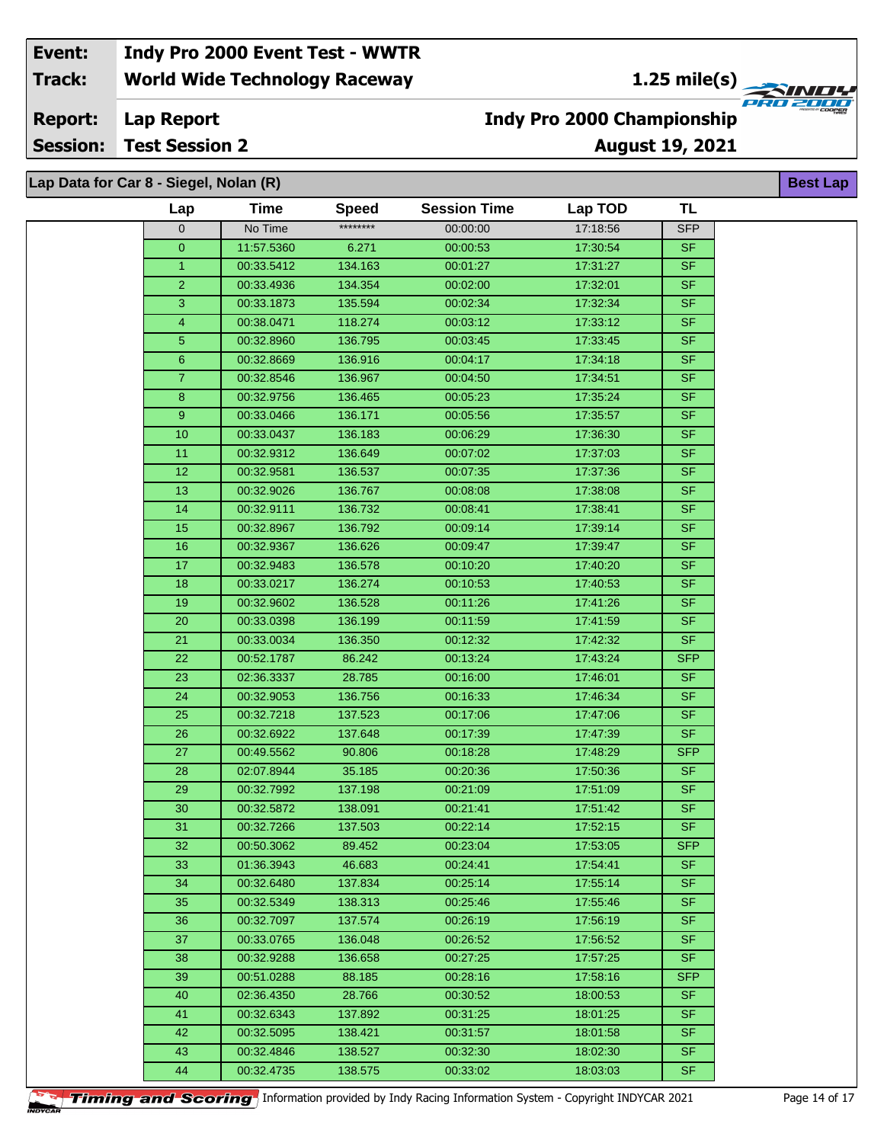**1.25 mile(s)**<br>
FRU 2000

**Lap Report Report:**

**Session: Test Session 2**

## **August 19, 2021 Indy Pro 2000 Championship**

| Lap Data for Car 8 - Siegel, Nolan (R) |                 |             |              |                     |          |            | <b>Best Lap</b> |
|----------------------------------------|-----------------|-------------|--------------|---------------------|----------|------------|-----------------|
|                                        | Lap             | <b>Time</b> | <b>Speed</b> | <b>Session Time</b> | Lap TOD  | <b>TL</b>  |                 |
|                                        | 0               | No Time     | ********     | 00:00:00            | 17:18:56 | <b>SFP</b> |                 |
|                                        | $\overline{0}$  | 11:57.5360  | 6.271        | 00:00:53            | 17:30:54 | <b>SF</b>  |                 |
|                                        | $\mathbf{1}$    | 00:33.5412  | 134.163      | 00:01:27            | 17:31:27 | <b>SF</b>  |                 |
|                                        | $\overline{2}$  | 00:33.4936  | 134.354      | 00:02:00            | 17:32:01 | <b>SF</b>  |                 |
|                                        | 3               | 00:33.1873  | 135.594      | 00:02:34            | 17:32:34 | <b>SF</b>  |                 |
|                                        | 4               | 00:38.0471  | 118.274      | 00:03:12            | 17:33:12 | <b>SF</b>  |                 |
|                                        | 5               | 00:32.8960  | 136.795      | 00:03:45            | 17:33:45 | <b>SF</b>  |                 |
|                                        | $6\overline{6}$ | 00:32.8669  | 136.916      | 00:04:17            | 17:34:18 | <b>SF</b>  |                 |
|                                        | $\overline{7}$  | 00:32.8546  | 136.967      | 00:04:50            | 17:34:51 | <b>SF</b>  |                 |
|                                        | 8               | 00:32.9756  | 136.465      | 00:05:23            | 17:35:24 | <b>SF</b>  |                 |
|                                        | 9               | 00:33.0466  | 136.171      | 00:05:56            | 17:35:57 | <b>SF</b>  |                 |
|                                        | 10              | 00:33.0437  | 136.183      | 00:06:29            | 17:36:30 | <b>SF</b>  |                 |
|                                        | 11              | 00:32.9312  | 136.649      | 00:07:02            | 17:37:03 | <b>SF</b>  |                 |
|                                        | 12              | 00:32.9581  | 136.537      | 00:07:35            | 17:37:36 | <b>SF</b>  |                 |
|                                        | 13              | 00:32.9026  | 136.767      | 00:08:08            | 17:38:08 | <b>SF</b>  |                 |
|                                        | 14              | 00:32.9111  | 136.732      | 00:08:41            | 17:38:41 | <b>SF</b>  |                 |
|                                        | 15              | 00:32.8967  | 136.792      | 00:09:14            | 17:39:14 | <b>SF</b>  |                 |
|                                        | 16              | 00:32.9367  | 136.626      | 00:09:47            | 17:39:47 | <b>SF</b>  |                 |
|                                        | 17              | 00:32.9483  | 136.578      | 00:10:20            | 17:40:20 | SF         |                 |
|                                        | 18              | 00:33.0217  | 136.274      | 00:10:53            | 17:40:53 | <b>SF</b>  |                 |
|                                        | 19              | 00:32.9602  | 136.528      | 00:11:26            | 17:41:26 | <b>SF</b>  |                 |
|                                        | 20              | 00:33.0398  | 136.199      | 00:11:59            | 17:41:59 | <b>SF</b>  |                 |
|                                        | 21              | 00:33.0034  | 136.350      | 00:12:32            | 17:42:32 | <b>SF</b>  |                 |
|                                        | 22              | 00:52.1787  | 86.242       | 00:13:24            | 17:43:24 | <b>SFP</b> |                 |
|                                        | 23              | 02:36.3337  | 28.785       | 00:16:00            | 17:46:01 | <b>SF</b>  |                 |
|                                        | 24              | 00:32.9053  | 136.756      | 00:16:33            | 17:46:34 | <b>SF</b>  |                 |
|                                        | 25              | 00:32.7218  | 137.523      | 00:17:06            | 17:47:06 | <b>SF</b>  |                 |
|                                        | 26              | 00:32.6922  | 137.648      | 00:17:39            | 17:47:39 | <b>SF</b>  |                 |
|                                        | 27              | 00:49.5562  | 90.806       | 00:18:28            | 17:48:29 | <b>SFP</b> |                 |
|                                        | 28              | 02:07.8944  | 35.185       | 00:20:36            | 17:50:36 | <b>SF</b>  |                 |
|                                        | 29              | 00:32.7992  | 137.198      | 00:21:09            | 17:51:09 | <b>SF</b>  |                 |
|                                        | 30              | 00:32.5872  | 138.091      | 00:21:41            | 17:51:42 | <b>SF</b>  |                 |
|                                        | 31              | 00:32.7266  | 137.503      | 00:22:14            | 17:52:15 | <b>SF</b>  |                 |
|                                        | 32              | 00:50.3062  | 89.452       | 00:23:04            | 17:53:05 | <b>SFP</b> |                 |
|                                        | 33              | 01:36.3943  | 46.683       | 00:24:41            | 17:54:41 | <b>SF</b>  |                 |
|                                        | 34              | 00:32.6480  | 137.834      | 00:25:14            | 17:55:14 | SF.        |                 |
|                                        | 35              | 00:32.5349  | 138.313      | 00:25:46            | 17:55:46 | <b>SF</b>  |                 |
|                                        | 36              | 00:32.7097  | 137.574      | 00:26:19            | 17:56:19 | <b>SF</b>  |                 |
|                                        | 37              | 00:33.0765  | 136.048      | 00:26:52            | 17:56:52 | SF.        |                 |
|                                        | 38              | 00:32.9288  | 136.658      | 00:27:25            | 17:57:25 | SF.        |                 |
|                                        | 39              | 00:51.0288  | 88.185       | 00:28:16            | 17:58:16 | <b>SFP</b> |                 |
|                                        | 40              | 02:36.4350  | 28.766       | 00:30:52            | 18:00:53 | <b>SF</b>  |                 |
|                                        | 41              | 00:32.6343  | 137.892      | 00:31:25            | 18:01:25 | SF.        |                 |
|                                        | 42              | 00:32.5095  | 138.421      | 00:31:57            | 18:01:58 | <b>SF</b>  |                 |
|                                        | 43              | 00:32.4846  | 138.527      | 00:32:30            | 18:02:30 | <b>SF</b>  |                 |
|                                        | 44              | 00:32.4735  | 138.575      | 00:33:02            | 18:03:03 | SF.        |                 |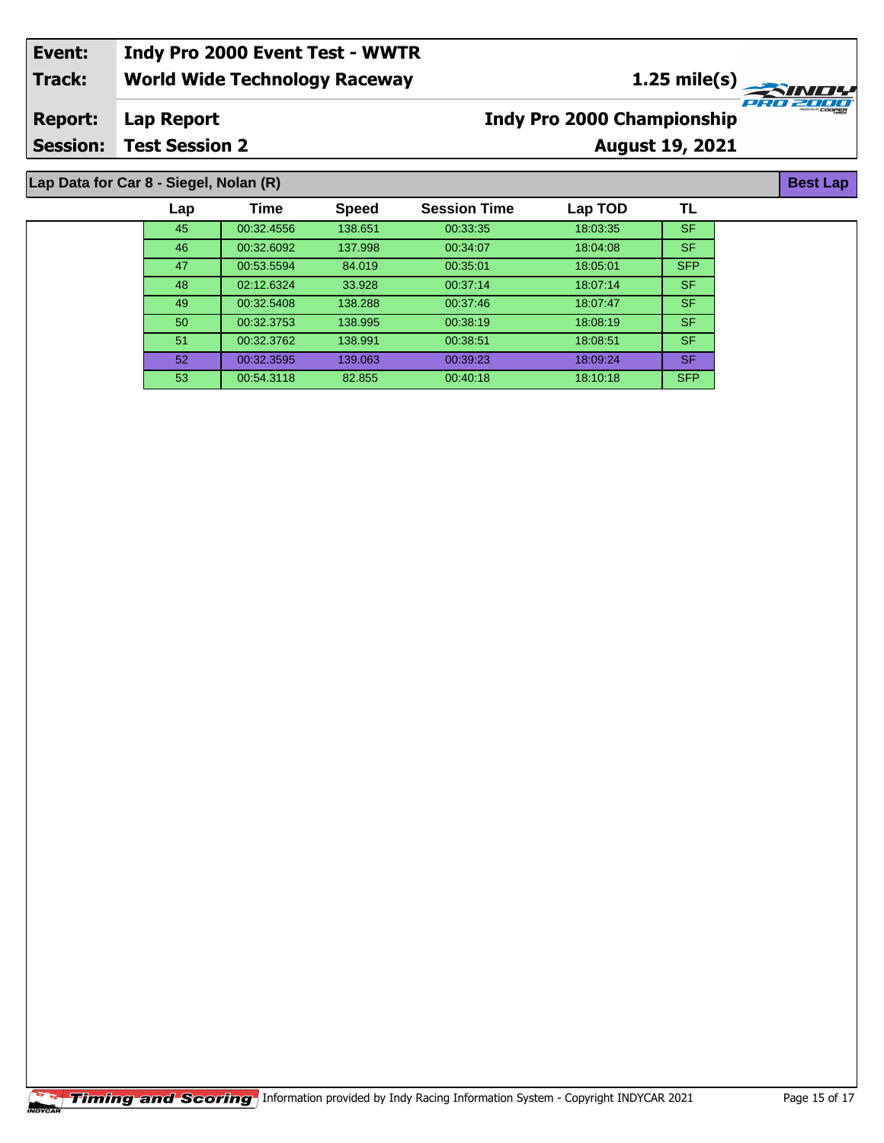#### **World Wide Technology Raceway Lap Report August 19, 2021 Event: Indy Pro 2000 Event Test - WWTR Track: Report: Session: Test Session 2 Indy Pro 2000 Championship 1.25 mile(s)**<br>
FRO 2004

## **Lap Data for Car 8 - Siegel, Nolan (R)**

| Lap             | Time       | <b>Speed</b> | <b>Session Time</b> | Lap TOD  | TL         |
|-----------------|------------|--------------|---------------------|----------|------------|
| 45              | 00:32.4556 | 138.651      | 00:33:35            | 18:03:35 | <b>SF</b>  |
| 46              | 00:32.6092 | 137.998      | 00:34:07            | 18:04:08 | <b>SF</b>  |
| 47              | 00:53.5594 | 84.019       | 00:35:01            | 18:05:01 | <b>SFP</b> |
| 48              | 02:12.6324 | 33.928       | 00:37:14            | 18:07:14 | <b>SF</b>  |
| 49              | 00:32.5408 | 138.288      | 00:37:46            | 18.07.47 | <b>SF</b>  |
| 50              | 00:32.3753 | 138.995      | 00:38:19            | 18:08:19 | <b>SF</b>  |
| 51              | 00:32.3762 | 138.991      | 00:38:51            | 18:08:51 | SF.        |
| 52 <sub>2</sub> | 00:32.3595 | 139.063      | 00:39:23            | 18:09:24 | <b>SF</b>  |
| 53              | 00:54.3118 | 82.855       | 00:40:18            | 18:10:18 | <b>SFP</b> |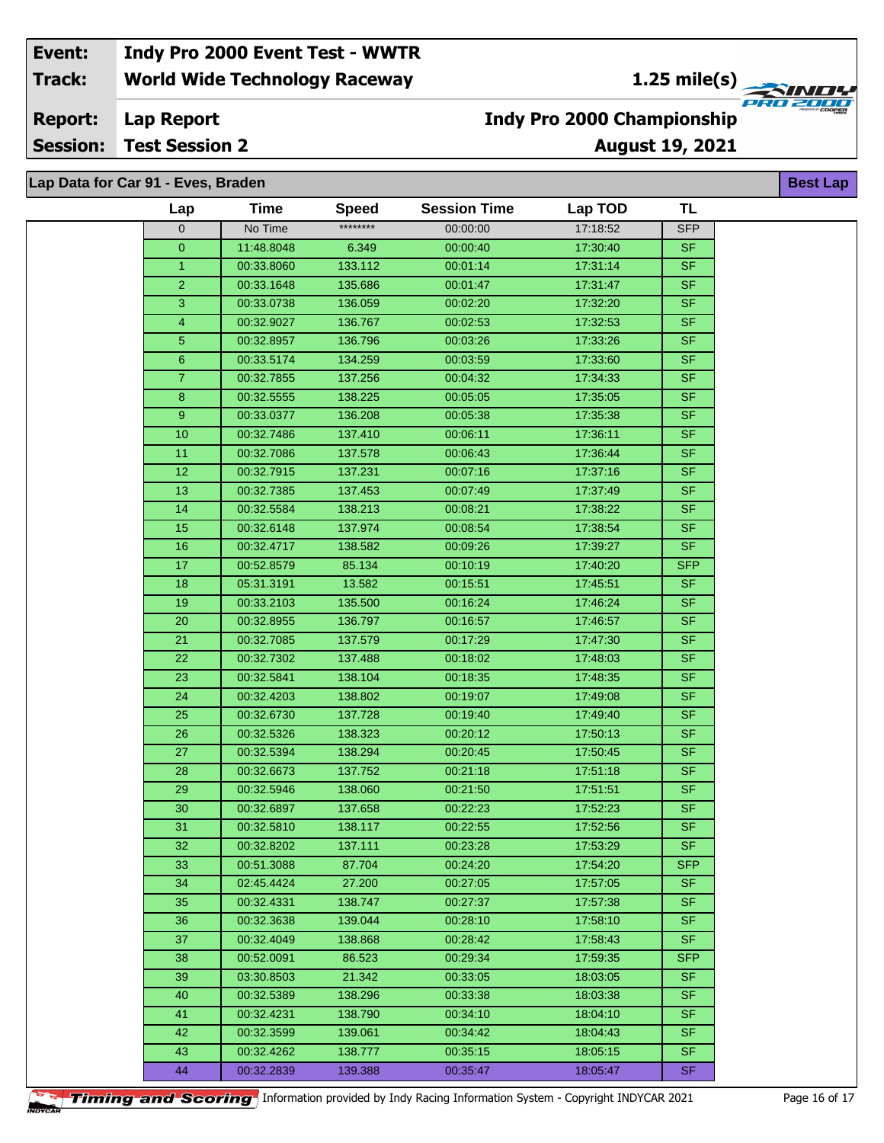**1.25 mile(s)**<br>
FRO 2004

#### **Lap Report Report:**

**Session: Test Session 2**

## **August 19, 2021 Indy Pro 2000 Championship**

| Lap Data for Car 91 - Eves, Braden |                |             |              |                     |          |            | <b>Best Lap</b> |
|------------------------------------|----------------|-------------|--------------|---------------------|----------|------------|-----------------|
|                                    | Lap            | <b>Time</b> | <b>Speed</b> | <b>Session Time</b> | Lap TOD  | <b>TL</b>  |                 |
|                                    | 0              | No Time     | ********     | 00:00:00            | 17:18:52 | <b>SFP</b> |                 |
|                                    | $\overline{0}$ | 11:48.8048  | 6.349        | 00:00:40            | 17:30:40 | <b>SF</b>  |                 |
|                                    | $\mathbf{1}$   | 00:33.8060  | 133.112      | 00:01:14            | 17:31:14 | <b>SF</b>  |                 |
|                                    | $\overline{2}$ | 00:33.1648  | 135.686      | 00:01:47            | 17:31:47 | <b>SF</b>  |                 |
|                                    | 3              | 00:33.0738  | 136.059      | 00:02:20            | 17:32:20 | <b>SF</b>  |                 |
|                                    | $\overline{4}$ | 00:32.9027  | 136.767      | 00:02:53            | 17:32:53 | <b>SF</b>  |                 |
|                                    | 5              | 00:32.8957  | 136.796      | 00:03:26            | 17:33:26 | <b>SF</b>  |                 |
|                                    | $6\phantom{.}$ | 00:33.5174  | 134.259      | 00:03:59            | 17:33:60 | <b>SF</b>  |                 |
|                                    | $\overline{7}$ | 00:32.7855  | 137.256      | 00:04:32            | 17:34:33 | <b>SF</b>  |                 |
|                                    | 8              | 00:32.5555  | 138.225      | 00:05:05            | 17:35:05 | <b>SF</b>  |                 |
|                                    | 9              | 00:33.0377  | 136.208      | 00:05:38            | 17:35:38 | <b>SF</b>  |                 |
|                                    | 10             | 00:32.7486  | 137.410      | 00:06:11            | 17:36:11 | <b>SF</b>  |                 |
|                                    | 11             | 00:32.7086  | 137.578      | 00:06:43            | 17:36:44 | <b>SF</b>  |                 |
|                                    | 12             | 00:32.7915  | 137.231      | 00:07:16            | 17:37:16 | <b>SF</b>  |                 |
|                                    | 13             | 00:32.7385  | 137.453      | 00:07:49            | 17:37:49 | <b>SF</b>  |                 |
|                                    | 14             | 00:32.5584  | 138.213      | 00:08:21            | 17:38:22 | <b>SF</b>  |                 |
|                                    | 15             | 00:32.6148  | 137.974      | 00:08:54            | 17:38:54 | <b>SF</b>  |                 |
|                                    | 16             | 00:32.4717  | 138.582      | 00:09:26            | 17:39:27 | <b>SF</b>  |                 |
|                                    | 17             | 00:52.8579  | 85.134       | 00:10:19            | 17:40:20 | <b>SFP</b> |                 |
|                                    | 18             | 05:31.3191  | 13.582       | 00:15:51            | 17:45:51 | <b>SF</b>  |                 |
|                                    | 19             | 00:33.2103  | 135.500      | 00:16:24            | 17:46:24 | <b>SF</b>  |                 |
|                                    | 20             | 00:32.8955  | 136.797      | 00:16:57            | 17:46:57 | <b>SF</b>  |                 |
|                                    | 21             | 00:32.7085  | 137.579      | 00:17:29            | 17:47:30 | <b>SF</b>  |                 |
|                                    | 22             | 00:32.7302  | 137.488      | 00:18:02            | 17:48:03 | <b>SF</b>  |                 |
|                                    | 23             | 00:32.5841  | 138.104      | 00:18:35            | 17:48:35 | <b>SF</b>  |                 |
|                                    | 24             | 00:32.4203  | 138.802      | 00:19:07            | 17:49:08 | SF         |                 |
|                                    | 25             | 00:32.6730  | 137.728      | 00:19:40            | 17:49:40 | <b>SF</b>  |                 |
|                                    | 26             | 00:32.5326  | 138.323      | 00:20:12            | 17:50:13 | <b>SF</b>  |                 |
|                                    | 27             | 00:32.5394  | 138.294      | 00:20:45            | 17:50:45 | <b>SF</b>  |                 |
|                                    | 28             | 00:32.6673  | 137.752      | 00:21:18            | 17:51:18 | <b>SF</b>  |                 |
|                                    | 29             | 00:32.5946  | 138.060      | 00:21:50            | 17:51:51 | <b>SF</b>  |                 |
|                                    | 30             | 00:32.6897  | 137.658      | 00:22:23            | 17:52:23 | <b>SF</b>  |                 |
|                                    | 31             | 00:32.5810  | 138.117      | 00:22:55            | 17:52:56 | SF.        |                 |
|                                    | 32             | 00:32.8202  | 137.111      | 00:23:28            | 17:53:29 | <b>SF</b>  |                 |
|                                    | 33             | 00:51.3088  | 87.704       | 00:24:20            | 17:54:20 | <b>SFP</b> |                 |
|                                    | 34             | 02:45.4424  | 27.200       | 00:27:05            | 17:57:05 | SF.        |                 |
|                                    | 35             | 00:32.4331  | 138.747      | 00:27:37            | 17:57:38 | SF.        |                 |
|                                    | 36             | 00:32.3638  | 139.044      | 00:28:10            | 17:58:10 | SF.        |                 |
|                                    | 37             | 00:32.4049  | 138.868      | 00:28:42            | 17:58:43 | <b>SF</b>  |                 |
|                                    | 38             | 00:52.0091  | 86.523       | 00:29:34            | 17:59:35 | <b>SFP</b> |                 |
|                                    | 39             | 03:30.8503  | 21.342       | 00:33:05            | 18:03:05 | SF.        |                 |
|                                    | 40             | 00:32.5389  | 138.296      | 00:33:38            | 18:03:38 | <b>SF</b>  |                 |
|                                    | 41             | 00:32.4231  | 138.790      | 00:34:10            | 18:04:10 | <b>SF</b>  |                 |
|                                    | 42             | 00:32.3599  | 139.061      | 00:34:42            | 18:04:43 | SF.        |                 |
|                                    | 43             | 00:32.4262  | 138.777      | 00:35:15            | 18:05:15 | <b>SF</b>  |                 |
|                                    | 44             | 00:32.2839  | 139.388      | 00:35:47            | 18:05:47 | SF.        |                 |